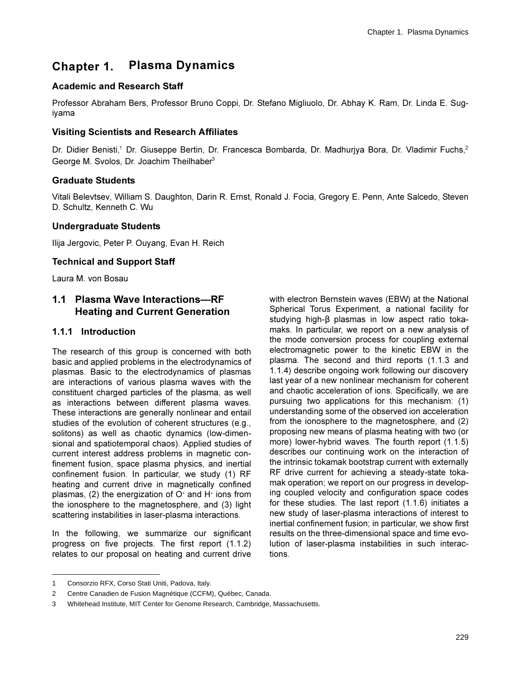# **Chapter 1. Plasma Dynamics**

## **Academic and Research Staff**

Professor Abraham Bers, Professor Bruno Coppi, Dr. Stefano Migliuolo, Dr. Abhay K. Ram, Dr. Linda E. Sugivama

### **Visiting Scientists and Research Affiliates**

Dr. Didier Benisti,<sup>1</sup> Dr. Giuseppe Bertin, Dr. Francesca Bombarda, Dr. Madhurjya Bora, Dr. Vladimir Fuchs,<sup>2</sup> George M. Svolos, Dr. Joachim Theilhaber<sup>3</sup>

### **Graduate Students**

Vitali Belevtsev, William S. Daughton, Darin R. Ernst, Ronald J. Focia, Gregory E. Penn, Ante Salcedo, Steven D. Schultz, Kenneth C. Wu

### **Undergraduate Students**

Ilija Jergovic, Peter P. Ouyang, Evan H. Reich

### **Technical and Support Staff**

Laura M. von Bosau

### 1.1 Plasma Wave Interactions-RF **Heating and Current Generation**

### 1.1.1 Introduction

The research of this group is concerned with both basic and applied problems in the electrodynamics of plasmas. Basic to the electrodynamics of plasmas are interactions of various plasma waves with the constituent charged particles of the plasma, as well as interactions between different plasma waves. These interactions are generally nonlinear and entail studies of the evolution of coherent structures (e.g., solitons) as well as chaotic dynamics (low-dimensional and spatiotemporal chaos). Applied studies of current interest address problems in magnetic confinement fusion, space plasma physics, and inertial confinement fusion. In particular, we study (1) RF heating and current drive in magnetically confined plasmas, (2) the energization of  $O<sup>+</sup>$  and  $H<sup>+</sup>$  ions from the ionosphere to the magnetosphere, and (3) light scattering instabilities in laser-plasma interactions.

In the following, we summarize our significant progress on five projects. The first report (1.1.2) relates to our proposal on heating and current drive

with electron Bernstein waves (EBW) at the National Spherical Torus Experiment, a national facility for studying high- $\beta$  plasmas in low aspect ratio tokamaks. In particular, we report on a new analysis of the mode conversion process for coupling external electromagnetic power to the kinetic EBW in the plasma. The second and third reports (1.1.3 and 1.1.4) describe ongoing work following our discovery last year of a new nonlinear mechanism for coherent and chaotic acceleration of ions. Specifically, we are pursuing two applications for this mechanism: (1) understanding some of the observed ion acceleration from the ionosphere to the magnetosphere, and (2) proposing new means of plasma heating with two (or more) lower-hybrid waves. The fourth report (1.1.5) describes our continuing work on the interaction of the intrinsic tokamak bootstrap current with externally RF drive current for achieving a steady-state tokamak operation; we report on our progress in developing coupled velocity and configuration space codes for these studies. The last report (1.1.6) initiates a new study of laser-plasma interactions of interest to inertial confinement fusion; in particular, we show first results on the three-dimensional space and time evolution of laser-plasma instabilities in such interactions.

Consorzio RFX, Corso Stati Uniti, Padova, Italy.  $1 \quad$ 

<sup>2</sup> Centre Canadien de Fusion Magnétique (CCFM), Québec, Canada.

Whitehead Institute, MIT Center for Genome Research, Cambridge, Massachusetts.  $\mathcal{R}$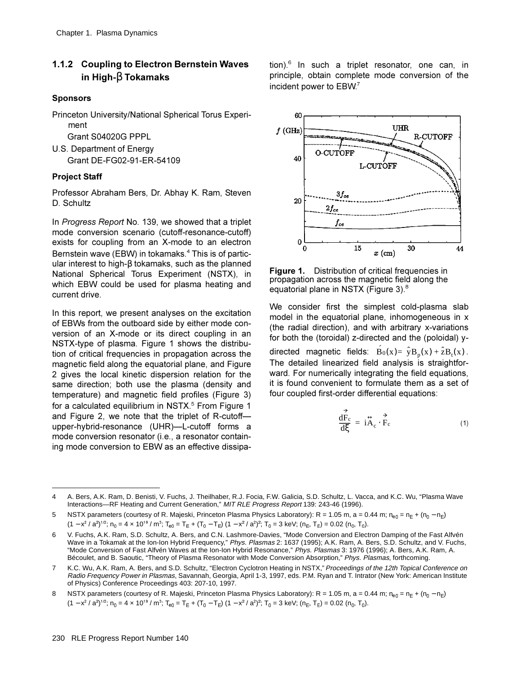## 1.1.2 Coupling to Electron Bernstein Waves in High- $\beta$  Tokamaks

#### **Sponsors**

Princeton University/National Spherical Torus Experiment

Grant S04020G PPPL

U.S. Department of Energy Grant DE-FG02-91-ER-54109

### **Project Staff**

Professor Abraham Bers, Dr. Abhay K. Ram, Steven D. Schultz

In Progress Report No. 139, we showed that a triplet mode conversion scenario (cutoff-resonance-cutoff) exists for coupling from an X-mode to an electron Bernstein wave (EBW) in tokamaks.<sup>4</sup> This is of particular interest to high- $\beta$  tokamaks, such as the planned National Spherical Torus Experiment (NSTX), in which EBW could be used for plasma heating and current drive.

In this report, we present analyses on the excitation of EBWs from the outboard side by either mode conversion of an X-mode or its direct coupling in an NSTX-type of plasma. Figure 1 shows the distribution of critical frequencies in propagation across the magnetic field along the equatorial plane, and Figure 2 gives the local kinetic dispersion relation for the same direction; both use the plasma (density and temperature) and magnetic field profiles (Figure 3) for a calculated equilibrium in NSTX.<sup>5</sup> From Figure 1 and Figure 2, we note that the triplet of R-cutoffupper-hybrid-resonance (UHR)-L-cutoff forms a mode conversion resonator (i.e., a resonator containing mode conversion to EBW as an effective dissipation).<sup>6</sup> In such a triplet resonator, one can, in principle, obtain complete mode conversion of the incident power to EBW.<sup>7</sup>



**Figure 1.** Distribution of critical frequencies in propagation across the magnetic field along the equatorial plane in NSTX (Figure 3).<sup>8</sup>

We consider first the simplest cold-plasma slab model in the equatorial plane, inhomogeneous in x (the radial direction), and with arbitrary x-variations for both the (toroidal) z-directed and the (poloidal) y-

directed magnetic fields:  $B_0(x) = \hat{y}B_n(x) + \hat{z}B_n(x)$ . The detailed linearized field analysis is straightforward. For numerically integrating the field equations, it is found convenient to formulate them as a set of four coupled first-order differential equations:

$$
\frac{dF_c}{d\xi} = i\overset{\leftrightarrow}{A}_c \cdot \overset{\Rightarrow}{F}_c \tag{1}
$$

 $\overline{\mathbf{4}}$ A. Bers, A.K. Ram, D. Benisti, V. Fuchs, J. Theilhaber, R.J. Focia, F.W. Galicia, S.D. Schultz, L. Vacca, and K.C. Wu, "Plasma Wave Interactions-RF Heating and Current Generation," MIT RLE Progress Report 139: 243-46 (1996).

NSTX parameters (courtesy of R. Majeski, Princeton Plasma Physics Laboratory): R = 1.05 m, a = 0.44 m;  $n_{e0} = n_E + (n_0 - n_E)$ 5  $(1 - x^2 / a^2)^{1/2}$ ;  $n_0 = 4 \times 10^{19} / m^3$ ;  $T_{e0} = T_E + (T_0 - T_E) (1 - x^2 / a^2)^2$ ;  $T_0 = 3 \text{ keV}$ ;  $(n_E, T_E) = 0.02 (n_0, T_0)$ .

<sup>6</sup> V. Fuchs, A.K. Ram, S.D. Schultz, A. Bers, and C.N. Lashmore-Davies, "Mode Conversion and Electron Damping of the Fast Alfvén Wave in a Tokamak at the Ion-Ion Hybrid Frequency," Phys. Plasmas 2: 1637 (1995); A.K. Ram, A. Bers, S.D. Schultz, and V. Fuchs, "Mode Conversion of Fast Alfvén Waves at the Ion-Ion Hybrid Resonance," Phys. Plasmas 3: 1976 (1996); A. Bers, A.K. Ram, A. Bécoulet, and B. Saoutic, "Theory of Plasma Resonator with Mode Conversion Absorption," Phys. Plasmas, forthcoming.

K.C. Wu. A.K. Ram. A. Bers. and S.D. Schultz. "Electron Cyclotron Heating in NSTX." Proceedings of the 12th Topical Conference on  $\overline{7}$ Radio Frequency Power in Plasmas, Savannah, Georgia, April 1-3, 1997, eds. P.M. Ryan and T. Intrator (New York: American Institute of Physics) Conference Proceedings 403: 207-10, 1997.

NSTX parameters (courtesy of R. Majeski, Princeton Plasma Physics Laboratory): R = 1.05 m, a = 0.44 m; n<sub>e0</sub> = n<sub>E</sub> + (n<sub>0</sub> - n<sub>E</sub>) 8  $(1 - x^2 / a^2)^{1/2}$ ;  $n_0 = 4 \times 10^{19} / m^3$ ;  $T_{e0} = T_E + (T_0 - T_E) (1 - x^2 / a^2)^2$ ;  $T_0 = 3$  keV;  $(n_E, T_E) = 0.02$   $(n_0, T_0)$ .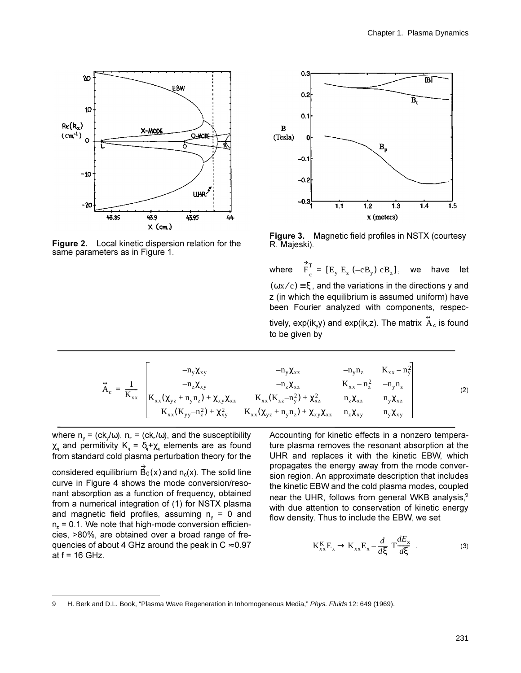

**Figure 2.** Local kinetic dispersion relation for the same parameters as in Figure 1.



**Figure 3.** Magnetic field profiles in NSTX (courtesy R. Majeski).

where  $\overrightarrow{F}_c^T = [E_y E_z (-cB_y) cB_z]$ , we have let  $(\omega x/c)$  ≡ξ, and the variations in the directions y and z (in which the equilibrium is assumed uniform) have been Fourier analyzed with components, respectively, exp(ik<sub>v</sub>y) and exp(ik<sub>z</sub>z). The matrix  $\stackrel{\leftrightarrow}{\mathrm{A}}_{\mathrm{c}}$  is found to be given by

$$
\overleftrightarrow{A}_{c} = \frac{1}{K_{xx}} \begin{bmatrix}\n-m_{y}\chi_{xy} & -n_{y}\chi_{xz} & -n_{y}n_{z} & K_{xx} - n_{y}^{2} \\
-n_{z}\chi_{xy} & -n_{z}\chi_{xz} & K_{xx} - n_{z}^{2} & -n_{y}n_{z} \\
K_{xx}(\chi_{yz} + n_{y}n_{z}) + \chi_{xy}\chi_{xz} & K_{xx}(K_{zz} - n_{y}^{2}) + \chi_{xz}^{2} & n_{z}\chi_{xz} & n_{y}\chi_{xz} \\
K_{xx}(K_{yy} - n_{z}^{2}) + \chi_{xy}^{2} & K_{xx}(\chi_{yz} + n_{y}n_{z}) + \chi_{xy}\chi_{xz} & n_{z}\chi_{xy} & n_{y}\chi_{xy}\n\end{bmatrix}
$$
\n(2)

where  $n_v = (ck_v/\omega)$ ,  $n_z = (ck_z/\omega)$ , and the susceptibility  $\chi_{\parallel}$  and permitivity  $K_{\parallel} = \delta_{\parallel} + \chi_{\parallel}$  elements are as found from standard cold plasma perturbation theory for the

considered equilibrium  $\mathsf{B}_0(\mathsf{x})$  and  $\mathsf{n}_0(\mathsf{x})$ . The solid line curve in Figure 4 shows the mode conversion/resohant absorption as a function of frequency, obtained from a numerical integration of (1) for NSTX plasma and magnetic field profiles, assuming  $n_v = 0$  and  $n<sub>z</sub> = 0.1$ . We note that high-mode conversion efficiencies, >80%, are obtained over a broad range of frequencies of about 4 GHz around the peak in  $C \approx 0.97$ at  $f = 16$  GHz.

Accounting for kinetic effects in a nonzero temperature plasma removes the resonant absorption at the UHR and replaces it with the kinetic EBW, which propagates the energy away from the mode conversion region. An approximate description that includes the kinetic EBW and the cold plasma modes, coupled near the UHR, follows from general WKB analysis.<sup>9</sup> with due attention to conservation of kinetic energy flow density. Thus to include the EBW, we set

$$
K_{xx}^{K}E_{x} \to K_{xx}E_{x} - \frac{d}{d\xi}\left(T\frac{dE_{x}}{d\xi}\right).
$$
 (3)

<sup>9</sup> H. Berk and D.L. Book, "Plasma Wave Regeneration in Inhomogeneous Media," Phys. Fluids 12: 649 (1969).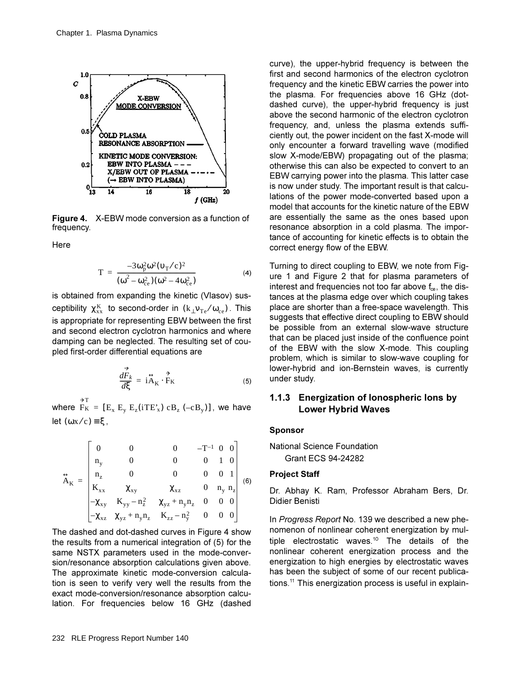

Figure 4. X-EBW mode conversion as a function of frequency.

Here

$$
T = \frac{-3\omega_{p}^{2}\omega^{2}(v_{T}/c)^{2}}{(\omega^{2}-\omega_{ce}^{2})(\omega^{2}-4\omega_{ce}^{2})}
$$
(4)

is obtained from expanding the kinetic (Vlasov) susceptibility  $\chi_{xx}^{K}$  to second-order in  $(k_{\perp}v_{Te}/\omega_{ce})$ . This is appropriate for representing EBW between the first and second electron cyclotron harmonics and where damping can be neglected. The resulting set of coupled first-order differential equations are

$$
\frac{d\vec{F}_k}{d\xi} = \vec{i} \vec{A}_K \cdot \vec{F}_K
$$
 (5)

where  $F_K = [E_x E_y E_z (iTE_x) cB_z (-cB_y)]$ , we have let  $(\omega x/c) = \xi$ ,

$$
\hat{A}_{K} = \begin{bmatrix}\n0 & 0 & 0 & -T^{-1} & 0 & 0 \\
n_{y} & 0 & 0 & 0 & 1 & 0 \\
n_{z} & 0 & 0 & 0 & 0 & 1 \\
K_{xx} & \chi_{xy} & \chi_{xz} & 0 & n_{y} & n_{z} \\
-\chi_{xy} & K_{yy} - n_{z}^{2} & \chi_{yz} + n_{y}n_{z} & 0 & 0 & 0 \\
-\chi_{xz} & \chi_{yz} + n_{y}n_{z} & K_{zz} - n_{y}^{2} & 0 & 0 & 0\n\end{bmatrix}
$$
\n(6)

The dashed and dot-dashed curves in Figure 4 show the results from a numerical integration of (5) for the same NSTX parameters used in the mode-conversion/resonance absorption calculations given above. The approximate kinetic mode-conversion calculation is seen to verify very well the results from the exact mode-conversion/resonance absorption calculation. For frequencies below 16 GHz (dashed

curve), the upper-hybrid frequency is between the first and second harmonics of the electron cyclotron frequency and the kinetic EBW carries the power into the plasma. For frequencies above 16 GHz (dotdashed curve), the upper-hybrid frequency is just above the second harmonic of the electron cyclotron frequency, and, unless the plasma extends sufficiently out, the power incident on the fast X-mode will only encounter a forward travelling wave (modified slow X-mode/EBW) propagating out of the plasma; otherwise this can also be expected to convert to an EBW carrying power into the plasma. This latter case is now under study. The important result is that calculations of the power mode-converted based upon a model that accounts for the kinetic nature of the EBW are essentially the same as the ones based upon resonance absorption in a cold plasma. The importance of accounting for kinetic effects is to obtain the correct energy flow of the EBW.

Turning to direct coupling to EBW, we note from Figure 1 and Figure 2 that for plasma parameters of interest and frequencies not too far above f<sub>ce</sub>, the distances at the plasma edge over which coupling takes place are shorter than a free-space wavelength. This suggests that effective direct coupling to EBW should be possible from an external slow-wave structure that can be placed just inside of the confluence point of the EBW with the slow X-mode. This coupling problem, which is similar to slow-wave coupling for lower-hybrid and ion-Bernstein waves, is currently under study.

### 1.1.3 Energization of lonospheric lons by **Lower Hybrid Waves**

#### **Sponsor**

**National Science Foundation Grant ECS 94-24282** 

#### **Project Staff**

Dr. Abhay K. Ram, Professor Abraham Bers, Dr. Didier Benisti

In Progress Report No. 139 we described a new phenomenon of nonlinear coherent energization by multiple electrostatic waves.<sup>10</sup> The details of the nonlinear coherent energization process and the energization to high energies by electrostatic waves has been the subject of some of our recent publications.<sup>11</sup> This energization process is useful in explain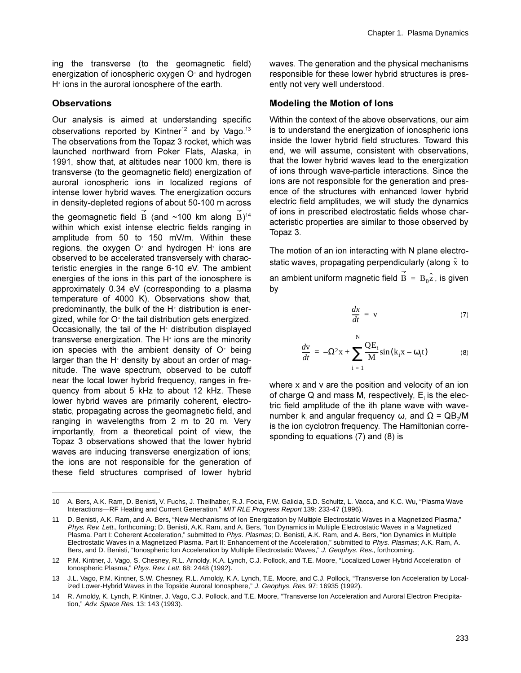ing the transverse (to the geomagnetic field) energization of ionospheric oxygen O<sup>+</sup> and hydrogen H<sup>\*</sup> ions in the auroral ionosphere of the earth.

### **Observations**

Our analysis is aimed at understanding specific observations reported by Kintner<sup>12</sup> and by Vago.<sup>13</sup> The observations from the Topaz 3 rocket, which was launched northward from Poker Flats, Alaska, in 1991, show that, at altitudes near 1000 km, there is transverse (to the geomagnetic field) energization of auroral ionospheric ions in localized regions of intense lower hybrid waves. The energization occurs in density-depleted regions of about 50-100 m across

the geomagnetic field B (and ~100 km along  $\hat{B}$ )<sup>14</sup> within which exist intense electric fields ranging in amplitude from 50 to 150 mV/m. Within these regions, the oxygen O<sup>+</sup> and hydrogen H<sup>+</sup> ions are observed to be accelerated transversely with characteristic energies in the range 6-10 eV. The ambient energies of the ions in this part of the ionosphere is approximately 0.34 eV (corresponding to a plasma temperature of 4000 K). Observations show that, predominantly, the bulk of the H<sup>+</sup> distribution is energized, while for O<sup>+</sup> the tail distribution gets energized. Occasionally, the tail of the H<sup>+</sup> distribution displayed transverse energization. The  $H^*$  ions are the minority ion species with the ambient density of O<sup>+</sup> being larger than the H<sup>+</sup> density by about an order of magnitude. The wave spectrum, observed to be cutoff near the local lower hybrid frequency, ranges in frequency from about 5 kHz to about 12 kHz. These lower hybrid waves are primarily coherent, electrostatic, propagating across the geomagnetic field, and ranging in wavelengths from 2 m to 20 m. Very importantly, from a theoretical point of view, the Topaz 3 observations showed that the lower hybrid waves are inducing transverse energization of ions; the ions are not responsible for the generation of these field structures comprised of lower hybrid waves. The generation and the physical mechanisms responsible for these lower hybrid structures is presently not very well understood.

### **Modeling the Motion of lons**

Within the context of the above observations, our aim is to understand the energization of ionospheric ions inside the lower hybrid field structures. Toward this end, we will assume, consistent with observations, that the lower hybrid waves lead to the energization of ions through wave-particle interactions. Since the ions are not responsible for the generation and presence of the structures with enhanced lower hybrid electric field amplitudes, we will study the dynamics of ions in prescribed electrostatic fields whose characteristic properties are similar to those observed by Topaz 3.

The motion of an ion interacting with N plane electrostatic waves, propagating perpendicularly (along  $\hat{x}$  to an ambient uniform magnetic field  $\overrightarrow{B} = B_0 \hat{z}$ , is given by

$$
\frac{dx}{dt} = \mathbf{v} \tag{7}
$$

$$
\frac{d\mathbf{v}}{dt} = -\Omega^2 \mathbf{x} + \sum_{i=1}^{N} \frac{Q E_i}{M} \sin(k_i \mathbf{x} - \omega_i \mathbf{t})
$$
(8)

where x and y are the position and velocity of an ion of charge Q and mass M, respectively, E is the electric field amplitude of the ith plane wave with wavenumber k and angular frequency  $\omega_i$ , and  $\Omega = QB_0/M$ is the ion cyclotron frequency. The Hamiltonian corresponding to equations  $(7)$  and  $(8)$  is

 $10<sup>1</sup>$ A. Bers, A.K. Ram, D. Benisti, V. Fuchs, J. Theilhaber, R.J. Focia, F.W. Galicia, S.D. Schultz, L. Vacca, and K.C. Wu, "Plasma Wave Interactions-RF Heating and Current Generation," MIT RLE Progress Report 139: 233-47 (1996).

D. Benisti, A.K. Ram, and A. Bers, "New Mechanisms of Ion Energization by Multiple Electrostatic Waves in a Magnetized Plasma,"  $11$ Phys. Rev. Lett., forthcoming; D. Benisti, A.K. Ram, and A. Bers, "Ion Dynamics in Multiple Electrostatic Waves in a Magnetized Plasma. Part I: Coherent Acceleration," submitted to Phys. Plasmas; D. Benisti, A.K. Ram, and A. Bers, "Ion Dynamics in Multiple Electrostatic Waves in a Magnetized Plasma. Part II: Enhancement of the Acceleration," submitted to Phys. Plasmas; A.K. Ram, A. Bers, and D. Benisti, "Ionospheric Ion Acceleration by Multiple Electrostatic Waves," J. Geophys. Res., forthcoming.

<sup>12</sup> P.M. Kintner, J. Vago, S. Chesney, R.L. Arnoldy, K.A. Lynch, C.J. Pollock, and T.E. Moore, "Localized Lower Hybrid Acceleration of Ionospheric Plasma," Phys. Rev. Lett. 68: 2448 (1992).

<sup>13</sup> J.L. Vago, P.M. Kintner, S.W. Chesney, R.L. Arnoldy, K.A. Lynch, T.E. Moore, and C.J. Pollock, "Transverse Ion Acceleration by Localized Lower-Hybrid Waves in the Topside Auroral lonosphere," J. Geophys. Res. 97: 16935 (1992).

<sup>14</sup> R. Arnoldy, K. Lynch, P. Kintner, J. Vago, C.J. Pollock, and T.E. Moore, "Transverse Ion Acceleration and Auroral Electron Precipitation," Adv. Space Res. 13: 143 (1993).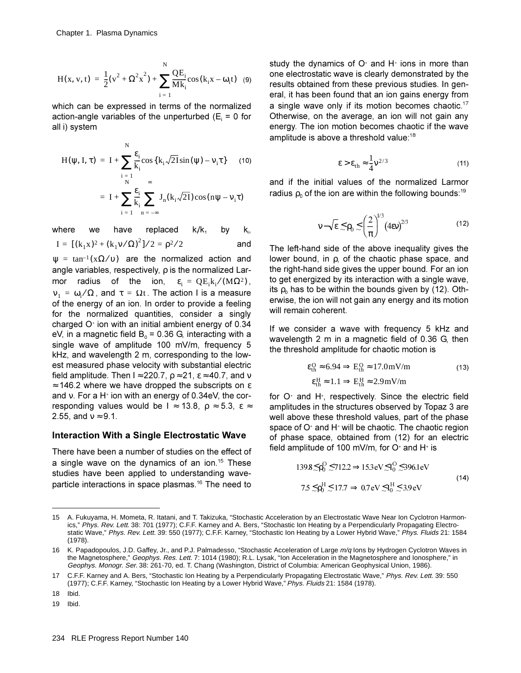$$
H(x, v, t) = \frac{1}{2}(v^2 + \Omega^2 x^2) + \sum_{i=1}^{N} \frac{QE_i}{Mk_i} \cos(k_i x - \omega_i t) \quad (9)
$$

which can be expressed in terms of the normalized action-angle variables of the unperturbed ( $E_i$  = 0 for all i) system

$$
H(\psi, I, \tau) = I + \sum_{\substack{i=1 \ n \leq k}}^N \frac{\epsilon_i}{k_i} \cos\left\{k_i \sqrt{2I} \sin(\psi) - v_i \tau\right\} \tag{10}
$$

$$
= I + \sum_{i=1}^N \frac{\epsilon_i}{k_i} \sum_{n=-\infty}^{\infty} J_n(k_i \sqrt{2I}) \cos(n\psi - v_i \tau)
$$

where we have replaced  $k/k$ by k, dan dan dan dan dan dan dan dalam kecamatan dan dalam kecamatan dan dalam kecamatan dan dalam dan da I =  $[(k_1 x)^2 + (k_1 v/\Omega)^2]/2 = \rho^2/2$ 

$$
[(k_1x)^2 + (k_1v/\Omega)^2]/2 = \rho^2/2
$$
 and

 $\Psi = \tan^{-1}(X\Omega/\nu)$  are the normalized action and angle variables, respectively,  $\rho$  is the normalized Larmor radius of the ion,  $\varepsilon$ <sub>i</sub> =  $QE$ <sub>i</sub> $k$ <sub>i</sub> $/(M\Omega^2)$ ,  $v_1 = ω_i / Ω$ , and  $τ = Ωt$ . The action I is a measure of the energy of an ion. In order to provide a feeling for the normalized quantities, consider a singly charged  $O<sup>+</sup>$  ion with an initial ambient energy of 0.34 eV, in a magnetic field  $B_0 = 0.36$  G, interacting with a single wave of amplitude 100 mV/m, frequency  $5$ kHz, and wavelength 2 m, corresponding to the lowest measured phase velocity with substantial electric field amplitude. Then  $I \approx 220.7$ ,  $\rho \approx 21$ ,  $\varepsilon \approx 40.7$ , and v  $\approx$  146.2 where we have dropped the subscripts on  $\varepsilon$ and  $v$ . For a H $^*$  ion with an energy of 0.34eV, the corresponding values would be  $I \approx 13.8$ ,  $\rho \approx 5.3$ ,  $\varepsilon \approx$ 2.55, and  $v \approx 9.1$ .

#### **Interaction With a Single Electrostatic Wave**

There have been a number of studies on the effect of a single wave on the dynamics of an ion.<sup>15</sup> These studies have been applied to understanding waveparticle interactions in space plasmas.<sup>16</sup> The need to

study the dynamics of  $O<sup>+</sup>$  and H<sup> $+$ </sup> ions in more than one electrostatic wave is clearly demonstrated by the results obtained from these previous studies. In general, it has been found that an ion gains energy from a single wave only if its motion becomes chaotic.<sup>17</sup> Otherwise, on the average, an ion will not gain any energy. The ion motion becomes chaotic if the wave amplitude is above a threshold value:  $18$ 

$$
\varepsilon > \varepsilon_{\text{th}} \approx \frac{1}{4} \mathsf{v}^{2/3} \tag{11}
$$

and if the initial values of the normalized Larmor radius  $\rho_0$  of the ion are within the following bounds:<sup>19</sup>

$$
\mathsf{v} - \sqrt{\epsilon} \lesssim \rho_0 \lesssim \left(\frac{2}{\pi}\right)^{1/3} \left(4\epsilon \mathsf{v}\right)^{2/3} \tag{12}
$$

The left-hand side of the above inequality gives the lower bound, in  $\rho$ , of the chaotic phase space, and the right-hand side gives the upper bound. For an ion to get energized by its interaction with a single wave, its  $\rho_0$  has to be within the bounds given by (12). Otherwise, the ion will not gain any energy and its motion will remain coherent.

If we consider a wave with frequency 5 kHz and wavelength 2 m in a magnetic field of 0.36 G, then the threshold amplitude for chaotic motion is

$$
\varepsilon_{\text{th}}^{\text{O}} \approx 6.94 \Rightarrow \text{E}_{\text{th}}^{\text{O}} \approx 17.0 \text{mV/m} \tag{13}
$$
\n
$$
\varepsilon_{\text{th}}^{\text{H}} \approx 1.1 \Rightarrow \text{E}_{\text{th}}^{\text{H}} \approx 2.9 \text{mV/m}
$$

for  $O<sup>+</sup>$  and H<sup>+</sup>, respectively. Since the electric field amplitudes in the structures observed by Topaz 3 are well above these threshold values, part of the phase space of O $^{\scriptscriptstyle +}$  and H $^{\scriptscriptstyle +}$  will be chaotic. The chaotic region of phase space, obtained from (12) for an electric field amplitude of 100 mV/m, for O $^*$  and H $^*$  is

$$
139.8 \lesssim \rho_0^{\text{O}} \lesssim 712.2 \Rightarrow 15.3 \text{eV} \lesssim I_0^{\text{O}} \lesssim 396.1 \text{eV}
$$
  
7.5 ≤  $\rho_0^{\text{H}} \lesssim 17.7 \Rightarrow 0.7 \text{eV} \lesssim I_0^{\text{H}} \lesssim 3.9 \text{eV}$  (14)

18 Ibid.

<sup>15</sup> A. Fukuyama, H. Mometa, R. Itatani, and T. Takizuka, "Stochastic Acceleration by an Electrostatic Wave Near Ion Cyclotron Harmonics," Phys. Rev. Lett. 38: 701 (1977); C.F.F. Karney and A. Bers, "Stochastic Ion Heating by a Perpendicularly Propagating Electrostatic Wave," Phys. Rev. Lett. 39: 550 (1977); C.F.F. Karney, "Stochastic Ion Heating by a Lower Hybrid Wave," Phys. Fluids 21: 1584 (1978).

<sup>16</sup> K. Papadopoulos, J.D. Gaffey, Jr., and P.J. Palmadesso, "Stochastic Acceleration of Large m/q lons by Hydrogen Cyclotron Waves in the Magnetosphere," Geophys. Res. Lett. 7: 1014 (1980); R.L. Lysak, "Ion Acceleration in the Magnetosphere and Ionosphere," in Geophys. Monogr. Ser. 38: 261-70, ed. T. Chang (Washington, District of Columbia: American Geophysical Union, 1986).

<sup>17</sup> C.F.F. Karney and A. Bers, "Stochastic Ion Heating by a Perpendicularly Propagating Electrostatic Wave," Phys. Rev. Lett. 39: 550 (1977); C.F.F. Karney, "Stochastic Ion Heating by a Lower Hybrid Wave," Phys. Fluids 21: 1584 (1978).

<sup>19</sup> Ibid.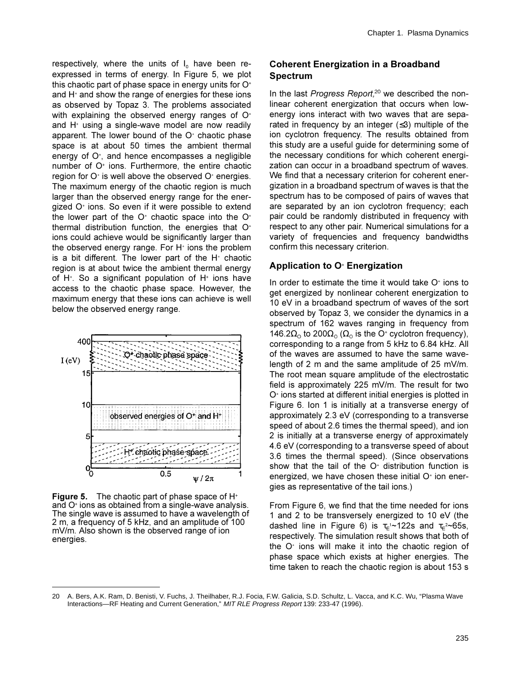respectively, where the units of  $I_0$  have been reexpressed in terms of energy. In Figure 5, we plot this chaotic part of phase space in energy units for  $O<sup>+</sup>$ and  $H<sup>+</sup>$  and show the range of energies for these ions as observed by Topaz 3. The problems associated with explaining the observed energy ranges of  $O<sup>+</sup>$ and  $H^*$  using a single-wave model are now readily apparent. The lower bound of the  $O<sup>+</sup>$  chaotic phase space is at about 50 times the ambient thermal energy of  $O<sup>+</sup>$ , and hence encompasses a negligible number of  $O<sup>+</sup>$  ions. Furthermore, the entire chaotic region for  $O<sup>+</sup>$  is well above the observed  $O<sup>+</sup>$  energies. The maximum energy of the chaotic region is much larger than the observed energy range for the energized  $O<sup>+</sup>$  ions. So even if it were possible to extend the lower part of the  $O<sup>+</sup>$  chaotic space into the  $O<sup>+</sup>$ thermal distribution function, the energies that  $O<sup>+</sup>$ ions could achieve would be significantly larger than the observed energy range. For  $H^*$  ions the problem is a bit different. The lower part of the  $H^*$  chaotic region is at about twice the ambient thermal energy of H<sup>\*</sup>. So a significant population of H<sup>\*</sup> ions have access to the chaotic phase space. However, the maximum energy that these ions can achieve is well below the observed energy range.



**Figure 5.** The chaotic part of phase space of H<sup>+</sup> and  $O<sup>*</sup>$  ions as obtained from a single-wave analysis. The single wave is assumed to have a wavelength of 2 m, a frequency of 5 kHz, and an amplitude of  $100$  $mV/m$ . Also shown is the observed range of ion energies.

### **Coherent Energization in a Broadband Spectrum**

In the last Progress Report,<sup>20</sup> we described the nonlinear coherent energization that occurs when lowenergy ions interact with two waves that are separated in frequency by an integer  $(\leq 3)$  multiple of the ion cyclotron frequency. The results obtained from this study are a useful guide for determining some of the necessary conditions for which coherent energization can occur in a broadband spectrum of waves. We find that a necessary criterion for coherent energization in a broadband spectrum of waves is that the spectrum has to be composed of pairs of waves that are separated by an ion cyclotron frequency; each pair could be randomly distributed in frequency with respect to any other pair. Numerical simulations for a variety of frequencies and frequency bandwidths confirm this necessary criterion.

## **Application to O<sup>®</sup> Energization**

In order to estimate the time it would take  $O<sup>+</sup>$  ions to get energized by nonlinear coherent energization to 10 eV in a broadband spectrum of waves of the sort observed by Topaz 3, we consider the dynamics in a spectrum of 162 waves ranging in frequency from 146.2Ω<sub>o</sub> to 200Ω<sub>o</sub> ( $\Omega$ <sub>o</sub> is the O<sup>+</sup> cyclotron frequency), corresponding to a range from 5 kHz to 6.84 kHz. All of the waves are assumed to have the same wavelength of 2 m and the same amplitude of 25 mV/m. The root mean square amplitude of the electrostatic field is approximately 225 mV/m. The result for two  $O<sup>+</sup>$  ions started at different initial energies is plotted in Figure 6. Ion 1 is initially at a transverse energy of approximately 2.3 eV (corresponding to a transverse speed of about 2.6 times the thermal speed), and ion 2 is initially at a transverse energy of approximately 4.6 eV (corresponding to a transverse speed of about 3.6 times the thermal speed). (Since observations show that the tail of the  $O<sup>+</sup>$  distribution function is energized, we have chosen these initial  $O<sup>+</sup>$  ion energies as representative of the tail ions.)

From Figure 6, we find that the time needed for ions 1 and 2 to be transversely energized to 10 eV (the dashed line in Figure 6) is  $\tau_{E}$ <sup>1</sup>~122s and  $\tau_{E}$ <sup>2</sup>~65s, respectively. The simulation result shows that both of the  $O<sup>+</sup>$  ions will make it into the chaotic region of phase space which exists at higher energies. The time taken to reach the chaotic region is about 153 s

<sup>20</sup> A. Bers, A.K. Ram, D. Benisti, V. Fuchs, J. Theilhaber, R.J. Focia, F.W. Galicia, S.D. Schultz, L. Vacca, and K.C. Wu, "Plasma Wave Interactions—RF Heating and Current Generation," MIT RLE Progress Report 139: 233-47 (1996).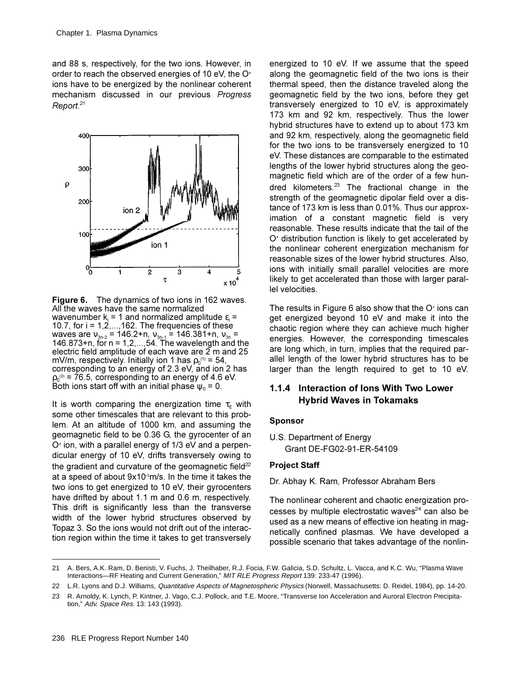and 88 s, respectively, for the two ions. However, in order to reach the observed energies of 10 eV, the O<sup>+</sup> ions have to be energized by the nonlinear coherent mechanism discussed in our previous Progress  $Report.<sup>21</sup>$ 



**Figure 6.** The dynamics of two ions in 162 waves. All the waves have the same normalized wavenumber  $k_i = 1$  and normalized amplitude  $\varepsilon_i =$ 10.7, for  $i = 1, 2, \ldots, 162$ . The frequencies of these waves are  $v_{3n-2} = 146.2 + n$ ,  $v_{3n-1} = 146.381 + n$ ,  $v_{3n} =$ 146.873+n, for  $n = 1, 2, ..., 54$ . The wavelength and the electric field amplitude of each wave are 2 m and 25 mV/m, respectively. Initially ion 1 has  $\rho_0$ <sup>(1)</sup> = 54, corresponding to an energy of 2.3 eV, and ion 2 has  $p_0^{(2)}$  = 76.5, corresponding to an energy of 4.6 eV. Both ions start off with an initial phase  $\psi_0 = 0$ .

It is worth comparing the energization time  $\tau_{E}$  with some other timescales that are relevant to this problem. At an altitude of 1000 km, and assuming the geomagnetic field to be 0.36 G, the gyrocenter of an O<sup>+</sup> ion, with a parallel energy of 1/3 eV and a perpendicular energy of 10 eV, drifts transversely owing to the gradient and curvature of the geomagnetic field<sup>22</sup> at a speed of about 9x10 °m/s. In the time it takes the two ions to get energized to 10 eV, their gyrocenters have drifted by about 1.1 m and 0.6 m, respectively. This drift is significantly less than the transverse width of the lower hybrid structures observed by Topaz 3. So the ions would not drift out of the interaction region within the time it takes to get transversely energized to 10 eV. If we assume that the speed along the geomagnetic field of the two ions is their thermal speed, then the distance traveled along the geomagnetic field by the two ions, before they get transversely energized to 10 eV, is approximately 173 km and 92 km, respectively. Thus the lower hybrid structures have to extend up to about 173 km and 92 km, respectively, along the geomagnetic field for the two ions to be transversely energized to 10 eV. These distances are comparable to the estimated lengths of the lower hybrid structures along the geomagnetic field which are of the order of a few hundred kilometers. $23$  The fractional change in the strength of the geomagnetic dipolar field over a distance of 173 km is less than 0.01%. Thus our approximation of a constant magnetic field is very reasonable. These results indicate that the tail of the O<sup>+</sup> distribution function is likely to get accelerated by the nonlinear coherent energization mechanism for reasonable sizes of the lower hybrid structures. Also, ions with initially small parallel velocities are more likely to get accelerated than those with larger parallel velocities.

The results in Figure 6 also show that the O<sup>+</sup> ions can get energized beyond 10 eV and make it into the chaotic region where they can achieve much higher energies. However, the corresponding timescales are long which, in turn, implies that the required parallel length of the lower hybrid structures has to be larger than the length required to get to 10 eV.

## 1.1.4 Interaction of lons With Two Lower **Hybrid Waves in Tokamaks**

#### **Sponsor**

U.S. Department of Energy Grant DE-FG02-91-ER-54109

### **Project Staff**

Dr. Abhay K. Ram, Professor Abraham Bers

The nonlinear coherent and chaotic energization processes by multiple electrostatic waves $^{24}$  can also be used as a new means of effective ion heating in magnetically confined plasmas. We have developed a possible scenario that takes advantage of the nonlin-

<sup>21</sup> A. Bers, A.K. Ram, D. Benisti, V. Fuchs, J. Theilhaber, R.J. Focia, F.W. Galicia, S.D. Schultz, L. Vacca, and K.C. Wu, "Plasma Wave Interactions-RF Heating and Current Generation," MIT RLE Progress Report 139: 233-47 (1996).

<sup>22</sup> L.R. Lyons and D.J. Williams, Quantitative Aspects of Magnetospheric Physics (Norwell, Massachusetts: D. Reidel, 1984), pp. 14-20.

<sup>23</sup> R. Arnoldy, K. Lynch, P. Kintner, J. Vago, C.J. Pollock, and T.E. Moore, "Transverse Ion Acceleration and Auroral Electron Precipitation," Adv. Space Res. 13: 143 (1993).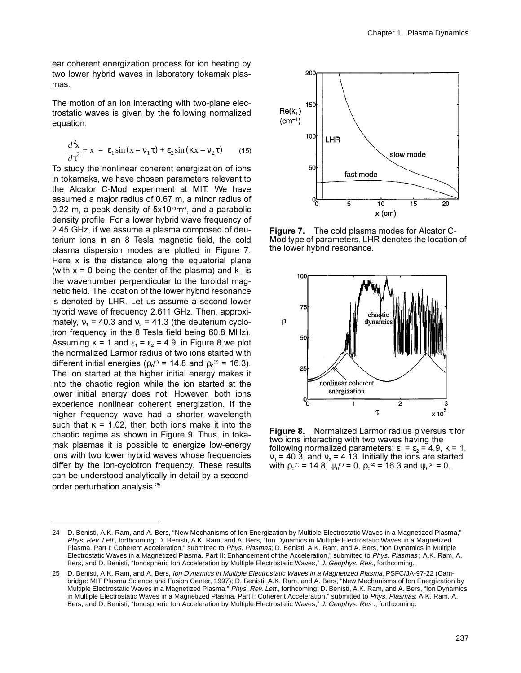ear coherent energization process for ion heating by two lower hybrid waves in laboratory tokamak plasmas.

The motion of an ion interacting with two-plane electrostatic waves is given by the following normalized equation:

$$
\frac{d^2\mathbf{x}}{d\tau^2} + \mathbf{x} = \varepsilon_1 \sin(\mathbf{x} - \mathbf{v}_1 \tau) + \varepsilon_2 \sin(\kappa \mathbf{x} - \mathbf{v}_2 \tau) \qquad (15)
$$

To study the nonlinear coherent energization of ions in tokamaks, we have chosen parameters relevant to the Alcator C-Mod experiment at MIT. We have assumed a major radius of 0.67 m, a minor radius of 0.22 m, a peak density of  $5x10^{20}$ m<sup>3</sup>, and a parabolic density profile. For a lower hybrid wave frequency of 2.45 GHz, if we assume a plasma composed of deuterium ions in an 8 Tesla magnetic field, the cold plasma dispersion modes are plotted in Figure 7. Here x is the distance along the equatorial plane (with  $x = 0$  being the center of the plasma) and  $k_1$  is the wavenumber perpendicular to the toroidal magnetic field. The location of the lower hybrid resonance is denoted by LHR. Let us assume a second lower hybrid wave of frequency 2.611 GHz. Then, approximately,  $v_1$  = 40.3 and  $v_2$  = 41.3 (the deuterium cyclotron frequency in the 8 Tesla field being 60.8 MHz). Assuming  $\kappa$  = 1 and  $\varepsilon$ <sub>1</sub> =  $\varepsilon$ <sub>2</sub> = 4.9, in Figure 8 we plot the normalized Larmor radius of two ions started with different initial energies ( $\rho_0^{(1)} = 14.8$  and  $\rho_0^{(2)} = 16.3$ ). The ion started at the higher initial energy makes it into the chaotic region while the ion started at the lower initial energy does not. However, both ions experience nonlinear coherent energization. If the higher frequency wave had a shorter wavelength such that  $\kappa$  = 1.02, then both ions make it into the chaotic regime as shown in Figure 9. Thus, in tokamak plasmas it is possible to energize low-energy jons with two lower hybrid wayes whose frequencies differ by the ion-cyclotron frequency. These results can be understood analytically in detail by a secondorder perturbation analysis.<sup>25</sup>



**Figure 7.** The cold plasma modes for Alcator C-Mod type of parameters. LHR denotes the location of the lower hybrid resonance.



Figure 8. Normalized Larmor radius  $\rho$  versus  $\tau$  for two ions interacting with two waves having the following normalized parameters:  $\varepsilon_1 = \varepsilon_2 = 4.9$ ,  $\kappa = 1$ ,  $v_1$  = 40.3, and  $v_2$  = 4.13. Initially the ions are started with  $\rho_0^{(1)} = 14.8$ ,  $\Psi_0^{(1)} = 0$ ,  $\rho_0^{(2)} = 16.3$  and  $\Psi_0^{(2)} = 0$ .

<sup>24</sup> D. Benisti, A.K. Ram, and A. Bers, "New Mechanisms of Ion Energization by Multiple Electrostatic Waves in a Magnetized Plasma," Phys. Rev. Lett., forthcoming; D. Benisti, A.K. Ram, and A. Bers, "Ion Dynamics in Multiple Electrostatic Waves in a Magnetized Plasma. Part I: Coherent Acceleration," submitted to Phys. Plasmas; D. Benisti, A.K. Ram, and A. Bers, "Ion Dynamics in Multiple Electrostatic Waves in a Magnetized Plasma. Part II: Enhancement of the Acceleration," submitted to Phys. Plasmas; A.K. Ram, A. Bers, and D. Benisti, "lonospheric Ion Acceleration by Multiple Electrostatic Waves," J. Geophys. Res., forthcoming.

<sup>25</sup> D. Benisti, A.K. Ram, and A. Bers, Ion Dynamics in Multiple Electrostatic Waves in a Magnetized Plasma, PSFC/JA-97-22 (Cambridge: MIT Plasma Science and Fusion Center, 1997); D. Benisti, A.K. Ram, and A. Bers, "New Mechanisms of Ion Energization by Multiple Electrostatic Waves in a Magnetized Plasma," Phys. Rev. Lett., forthcoming; D. Benisti, A.K. Ram, and A. Bers, "Ion Dynamics in Multiple Electrostatic Waves in a Magnetized Plasma. Part I: Coherent Acceleration," submitted to Phys. Plasmas; A.K. Ram, A. Bers, and D. Benisti, "lonospheric Ion Acceleration by Multiple Electrostatic Waves," J. Geophys. Res., forthcoming.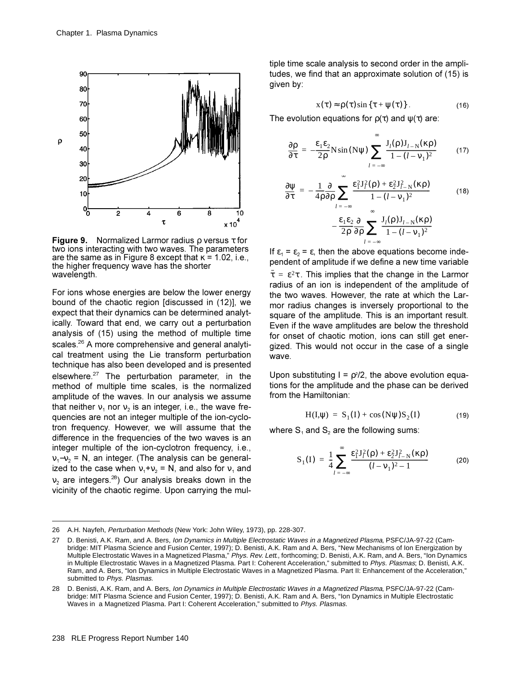

**Figure 9.** Normalized Larmor radius  $\rho$  versus  $\tau$  for two ions interacting with two waves. The parameters are the same as in Figure 8 except that  $\kappa$  = 1.02, i.e., the higher frequency wave has the shorter wavelength.

For ions whose energies are below the lower energy bound of the chaotic region [discussed in (12)], we expect that their dynamics can be determined analytically. Toward that end, we carry out a perturbation analysis of (15) using the method of multiple time scales.<sup>26</sup> A more comprehensive and general analytical treatment using the Lie transform perturbation technique has also been developed and is presented elsewhere. $27$  The perturbation parameter, in the method of multiple time scales, is the normalized amplitude of the waves. In our analysis we assume that neither  $v_1$  nor  $v_2$  is an integer, i.e., the wave frequencies are not an integer multiple of the ion-cyclotron frequency. However, we will assume that the difference in the frequencies of the two waves is an integer multiple of the ion-cyclotron frequency, i.e.,  $v_1 - v_2 = N$ , an integer. (The analysis can be generalized to the case when  $v_1 + v_2 = N$ , and also for  $v_1$  and  $v_2$  are integers.<sup>28</sup>) Our analysis breaks down in the vicinity of the chaotic regime. Upon carrying the multiple time scale analysis to second order in the amplitudes, we find that an approximate solution of (15) is given by:

$$
x(\tau) \approx \rho(\tau) \sin \{ \tau + \psi(\tau) \}.
$$
 (16)

The evolution equations for  $p(\tau)$  and  $\psi(\tau)$  are:

$$
\frac{\partial \rho}{\partial \tau} = -\frac{\varepsilon_1 \varepsilon_2}{2\rho} \text{N} \sin(N\psi) \sum_{l = -\infty}^{\infty} \frac{J_l(\rho) J_{l - N}(\kappa \rho)}{1 - (l - \nu_1)^2}
$$
(17)

$$
\frac{\partial \Psi}{\partial \tau} = -\frac{1}{4\rho} \frac{\partial}{\partial \rho} \sum_{l=-\infty} \frac{\varepsilon_1^2 J_l^2(\rho) + \varepsilon_2^2 J_{l-N}^2(\kappa \rho)}{1 - (l - \nu_1)^2}
$$
(18)  

$$
-\frac{\varepsilon_1 \varepsilon_2}{2\rho} \frac{\partial}{\partial \rho} \sum_{l=-\infty}^{\infty} \frac{J_l(\rho) J_{l-N}(\kappa \rho)}{1 - (l - \nu_1)^2}
$$

If  $\varepsilon_1 = \varepsilon_2 = \varepsilon$ , then the above equations become independent of amplitude if we define a new time variable  $\bar{\tau} = \epsilon^2 \tau$ . This implies that the change in the Larmor radius of an ion is independent of the amplitude of the two waves. However, the rate at which the Larmor radius changes is inversely proportional to the square of the amplitude. This is an important result. Even if the wave amplitudes are below the threshold for onset of chaotic motion, ions can still get energized. This would not occur in the case of a single wave.

Upon substituting  $I = \rho^2/2$ , the above evolution equations for the amplitude and the phase can be derived from the Hamiltonian:

$$
H(I,\psi) = S_1(I) + \cos(N\psi)S_2(I)
$$
 (19)

where  $S_1$  and  $S_2$  are the following sums:

$$
S_1(I) = \frac{1}{4} \sum_{l = -\infty}^{\infty} \frac{\epsilon_1^2 J_l^2(\rho) + \epsilon_2^2 J_{l-N}^2(\kappa \rho)}{(l - v_1)^2 - 1}
$$
(20)

<sup>26</sup> A.H. Nayfeh, Perturbation Methods (New York: John Wiley, 1973), pp. 228-307.

<sup>27</sup> D. Benisti, A.K. Ram, and A. Bers, Ion Dynamics in Multiple Electrostatic Waves in a Magnetized Plasma, PSFC/JA-97-22 (Cambridge: MIT Plasma Science and Fusion Center, 1997); D. Benisti, A.K. Ram and A. Bers, "New Mechanisms of Ion Energization by Multiple Electrostatic Waves in a Magnetized Plasma," Phys. Rev. Lett., forthcoming; D. Benisti, A.K. Ram, and A. Bers, "Ion Dynamics in Multiple Electrostatic Waves in a Magnetized Plasma. Part I: Coherent Acceleration," submitted to Phys. Plasmas; D. Benisti, A.K. Ram, and A. Bers, "Ion Dynamics in Multiple Electrostatic Waves in a Magnetized Plasma. Part II: Enhancement of the Acceleration," submitted to Phys. Plasmas.

D. Benisti, A.K. Ram, and A. Bers, Ion Dynamics in Multiple Electrostatic Waves in a Magnetized Plasma, PSFC/JA-97-22 (Cam-28 bridge: MIT Plasma Science and Fusion Center, 1997); D. Benisti, A.K. Ram and A. Bers, "Ion Dynamics in Multiple Electrostatic Waves in a Magnetized Plasma. Part I: Coherent Acceleration," submitted to Phys. Plasmas.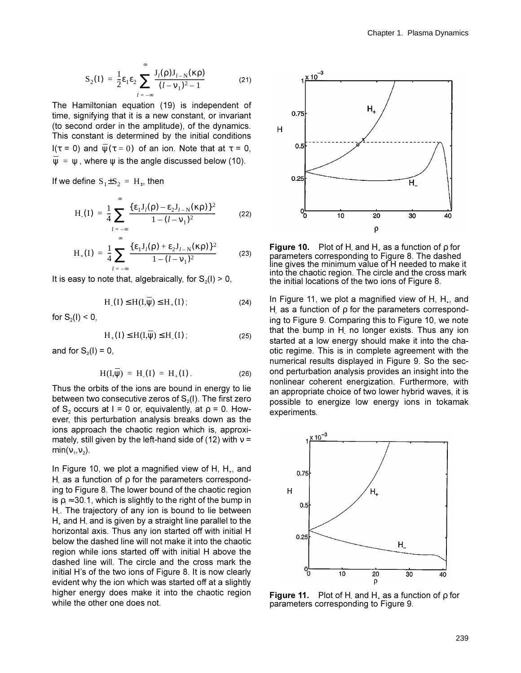$$
S_2(I) = \frac{1}{2} \varepsilon_1 \varepsilon_2 \sum_{l = -\infty}^{\infty} \frac{J_l(\rho) J_{l-N}(\kappa \rho)}{(l - v_1)^2 - 1}
$$
 (21)

The Hamiltonian equation (19) is independent of time, signifying that it is a new constant, or invariant (to second order in the amplitude), of the dynamics. This constant is determined by the initial conditions I( $\tau$  = 0) and  $\psi(\tau = 0)$  of an ion. Note that at  $\tau = 0$ ,  $\Psi = \Psi$ , where  $\Psi$  is the angle discussed below (10).

If we define  $S_1 \pm S_2 = H_{\pm}$ , then

$$
H_{.}(I) = \frac{1}{4} \sum_{l = -\infty}^{\infty} \frac{\{\epsilon_{1} J_{l}(\rho) - \epsilon_{2} J_{l-N}(\kappa \rho)\}^{2}}{1 - (l - \nu_{1})^{2}}
$$
(22)

$$
H_{+}(I) = \frac{1}{4} \sum_{l = -\infty}^{\infty} \frac{\{\epsilon_{1} J_{l}(\rho) + \epsilon_{2} J_{l-N}(\kappa \rho)\}^{2}}{1 - (l - \nu_{1})^{2}}
$$
(23)

It is easy to note that, algebraically, for  $S_2(1) > 0$ ,

$$
H_{-}(I) \leq H(I,\psi) \leq H_{+}(I) ; \qquad (24)
$$

for  $S_2(I) < 0$ ,

$$
H_{+}(I) \leq H(I,\overline{\psi}) \leq H_{-}(I) \tag{25}
$$

and for  $S_2(I) = 0$ ,

$$
H(I,\overline{\psi}) = H_{-}(I) = H_{+}(I). \tag{26}
$$

Thus the orbits of the ions are bound in energy to lie between two consecutive zeros of  $S<sub>2</sub>(I)$ . The first zero of S<sub>2</sub> occurs at I = 0 or, equivalently, at  $\rho = 0$ . However, this perturbation analysis breaks down as the ions approach the chaotic region which is, approximately, still given by the left-hand side of (12) with  $v =$  $min(v_1, v_2)$ .

In Figure 10, we plot a magnified view of H,  $H_{+}$ , and H as a function of  $\rho$  for the parameters corresponding to Figure 8. The lower bound of the chaotic region is  $\rho_t \approx 30.1$ , which is slightly to the right of the bump in H. The trajectory of any ion is bound to lie between  $H<sub>z</sub>$  and H and is given by a straight line parallel to the horizontal axis. Thus any ion started off with initial H below the dashed line will not make it into the chaotic region while ions started off with initial H above the dashed line will. The circle and the cross mark the initial H's of the two ions of Figure 8. It is now clearly evident why the ion which was started off at a slightly higher energy does make it into the chaotic region while the other one does not.



**Figure 10.** Plot of H and H, as a function of  $\rho$  for parameters corresponding to Figure 8. The dashed line gives the minimum value of H needed to make it into the chaotic region. The circle and the cross mark the initial locations of the two ions of Figure 8.

In Figure 11, we plot a magnified view of H,  $H_{+}$ , and H as a function of  $\rho$  for the parameters corresponding to Figure 9. Comparing this to Figure 10, we note that the bump in  $H$  no longer exists. Thus any ion started at a low energy should make it into the chaotic regime. This is in complete agreement with the numerical results displayed in Figure 9. So the second perturbation analysis provides an insight into the nonlinear coherent energization. Furthermore, with an appropriate choice of two lower hybrid waves, it is possible to energize low energy ions in tokamak experiments.



**Figure 11.** Plot of H and H<sub>+</sub> as a function of  $\rho$  for parameters corresponding to Figure 9.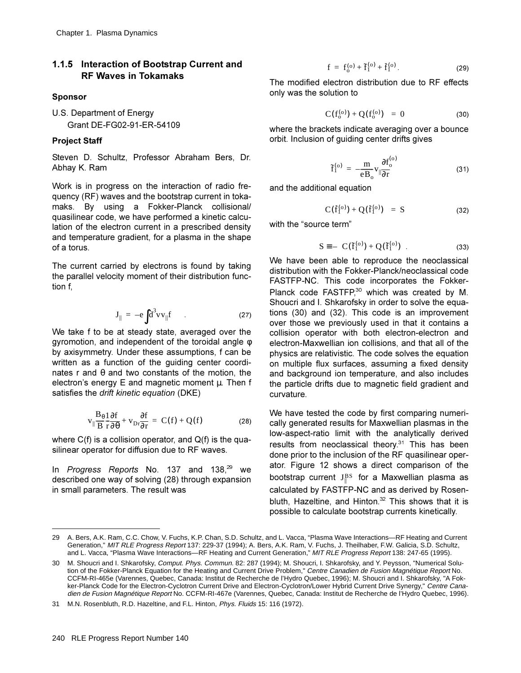### **1.1.5 Interaction of Bootstrap Current and RF Waves in Tokamaks**

#### **Sponsor**

U.S. Department of Energy Grant DE-FG02-91-ER-54109

#### **Project Staff**

Steven D. Schultz, Professor Abraham Bers, Dr. Abhay K. Ram

Work is in progress on the interaction of radio frequency (RF) waves and the bootstrap current in tokamaks. By using a Fokker-Planck collisional/ quasilinear code, we have performed a kinetic calculation of the electron current in a prescribed density and temperature gradient, for a plasma in the shape of a torus.

The current carried by electrons is found by taking the parallel velocity moment of their distribution function f.

$$
\mathbf{J}_{\parallel} = -e \int d^3 v \mathbf{v}_{\parallel} \mathbf{f} \tag{27}
$$

We take f to be at steady state, averaged over the gyromotion, and independent of the toroidal angle  $\phi$ by axisymmetry. Under these assumptions, f can be written as a function of the quiding center coordinates r and  $\theta$  and two constants of the motion, the electron's energy E and magnetic moment  $\mu$ . Then f satisfies the drift kinetic equation (DKE).

$$
v_{\parallel} \frac{B_{\theta} 1 \partial f}{B r \partial \theta} + v_{Dr} \frac{\partial f}{\partial r} = C(f) + Q(f)
$$
 (28)

where  $C(f)$  is a collision operator, and  $Q(f)$  is the quasilinear operator for diffusion due to RF waves.

In *Progress Reports* No. 137 and 138,<sup>29</sup> we described one way of solving (28) through expansion in small parameters. The result was

$$
f = f_0^{(0)} + \tilde{f}_1^{(0)} + f_1^{(0)}.
$$
 (29)

The modified electron distribution due to RF effects only was the solution to

$$
\langle C(f_0^{(o)}) + Q(f_0^{(o)}) \rangle = 0 \tag{30}
$$

where the brackets indicate averaging over a bounce orbit. Inclusion of guiding center drifts gives

$$
\tilde{f}_1^{(o)} = -\frac{m}{eB_o} v_{\parallel} \frac{\partial f_o^{(o)}}{\partial r}
$$
 (31)

and the additional equation

$$
\langle C(f_1^{(o)}) + Q(f_1^{(o)}) \rangle = S \tag{32}
$$

with the "source term"

$$
S \equiv -\langle C(\tilde{f}_1^{(o)}) + Q(\tilde{f}_1^{(o)}) \rangle. \tag{33}
$$

We have been able to reproduce the neoclassical distribution with the Fokker-Planck/neoclassical code FASTFP-NC. This code incorporates the Fokker-Planck code FASTFP, $30$  which was created by M. Shoucri and I. Shkarofsky in order to solve the equations  $(30)$  and  $(32)$ . This code is an improvement over those we previously used in that it contains a collision operator with both electron-electron and electron-Maxwellian ion collisions, and that all of the physics are relativistic. The code solves the equation on multiple flux surfaces, assuming a fixed density and background ion temperature, and also includes the particle drifts due to magnetic field gradient and curvature.

We have tested the code by first comparing numerically generated results for Maxwellian plasmas in the low-aspect-ratio limit with the analytically derived results from neoclassical theory. $31$  This has been done prior to the inclusion of the RF quasilinear operator. Figure 12 shows a direct comparison of the bootstrap current  $\text{J}^{\text{BS}}_{\parallel}$  for a Maxwellian plasma as calculated by FASTFP-NC and as derived by Rosenbluth, Hazeltine, and Hinton. $32$  This shows that it is possible to calculate bootstrap currents kinetically.

<sup>29</sup> A. Bers, A.K. Ram, C.C. Chow, V. Fuchs, K.P. Chan, S.D. Schultz, and L. Vacca, "Plasma Wave Interactions—RF Heating and Current Generation," MIT RLE Progress Report 137: 229-37 (1994); A. Bers, A.K. Ram, V. Fuchs, J. Theilhaber, F.W. Galicia, S.D. Schultz, and L. Vacca, "Plasma Wave Interactions—RF Heating and Current Generation," MIT RLE Progress Report 138: 247-65 (1995).

<sup>30</sup> M. Shoucri and I. Shkarofsky, Comput. Phys. Commun. 82: 287 (1994); M. Shoucri, I. Shkarofsky, and Y. Peysson, "Numerical Solution of the Fokker-Planck Equation for the Heating and Current Drive Problem," Centre Canadien de Fusion Magnétique Report No. CCFM-RI-465e (Varennes, Quebec, Canada: Institut de Recherche de l'Hydro Quebec, 1996); M. Shoucri and I. Shkarofsky, "A Fokker-Planck Code for the Electron-Cyclotron Current Drive and Electron-Cyclotron/Lower Hybrid Current Drive Synergy," Centre Canadien de Fusion Magnétique Report No. CCFM-RI-467e (Varennes, Quebec, Canada: Institut de Recherche de l'Hydro Quebec, 1996).

<sup>31</sup> M.N. Rosenbluth, R.D. Hazeltine, and F.L. Hinton, Phys. Fluids 15: 116 (1972).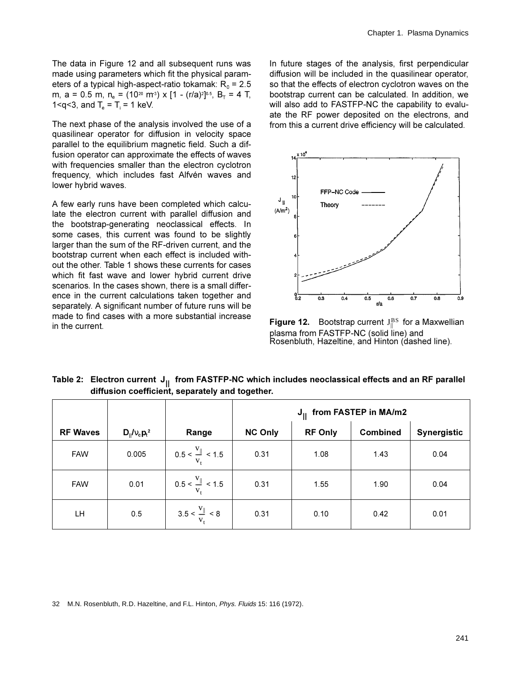The data in Figure 12 and all subsequent runs was made using parameters which fit the physical parameters of a typical high-aspect-ratio tokamak:  $R_0 = 2.5$ m, a = 0.5 m, n<sub>e</sub> = (10<sup>20</sup> m<sup>3</sup>) x [1 - (r/a)<sup>2</sup>]<sup>0.5</sup>, B<sub>T</sub> = 4 T, 1 <  $q$  < 3, and  $T_e$  = T = 1 keV.

The next phase of the analysis involved the use of a quasilinear operator for diffusion in velocity space parallel to the equilibrium magnetic field. Such a diffusion operator can approximate the effects of waves with frequencies smaller than the electron cyclotron frequency, which includes fast Alfvén waves and lower hybrid waves.

A few early runs have been completed which calculate the electron current with parallel diffusion and the bootstrap-generating neoclassical effects. In some cases, this current was found to be slightly larger than the sum of the RF-driven current, and the bootstrap current when each effect is included without the other. Table 1 shows these currents for cases which fit fast wave and lower hybrid current drive scenarios. In the cases shown, there is a small difference in the current calculations taken together and separately. A significant number of future runs will be made to find cases with a more substantial increase in the current.

In future stages of the analysis, first perpendicular diffusion will be included in the quasilinear operator, so that the effects of electron cyclotron waves on the bootstrap current can be calculated. In addition, we will also add to FASTFP-NC the capability to evaluate the RF power deposited on the electrons, and from this a current drive efficiency will be calculated.



**Figure 12.** Bootstrap current  $J_{\parallel}^{BS}$  for a Maxwellian plasma from FASTFP-NC (solid line) and Rosenbluth, Hazeltine, and Hinton (dashed line).

|                                                 |  |  |  |  | Table 2: $\,$ Electron current $\, {\sf J}_{\rm II} \,$ from FASTFP-NC which includes neoclassical effects and an RF parallel $\,$ |  |  |
|-------------------------------------------------|--|--|--|--|------------------------------------------------------------------------------------------------------------------------------------|--|--|
| diffusion coefficient, separately and together. |  |  |  |  |                                                                                                                                    |  |  |
|                                                 |  |  |  |  |                                                                                                                                    |  |  |

|                 |                           |                                               | $J_{II}$ from FASTEP in MA/m2 |                |                 |                    |
|-----------------|---------------------------|-----------------------------------------------|-------------------------------|----------------|-----------------|--------------------|
| <b>RF Waves</b> | $D_{\parallel}/v_c p_t^2$ | Range                                         | <b>NC Only</b>                | <b>RF Only</b> | <b>Combined</b> | <b>Synergistic</b> |
| <b>FAW</b>      | 0.005                     | $0.5 < \frac{V_{\parallel}}{V_{\perp}} < 1.5$ | 0.31                          | 1.08           | 1.43            | 0.04               |
| <b>FAW</b>      | 0.01                      | $0.5 < \frac{v_{\parallel}}{v_{\perp}} < 1.5$ | 0.31                          | 1.55           | 1.90            | 0.04               |
| LН              | 0.5                       | $3.5 < \frac{V_{\parallel}}{V_{\star}} < 8$   | 0.31                          | 0.10           | 0.42            | 0.01               |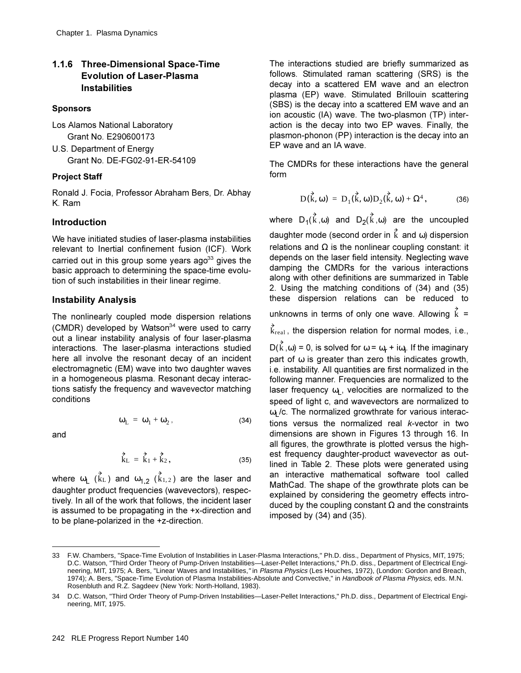### **1.1.6 Three-Dimensional Space-Time Evolution of Laser-Plasma Instabilities**

#### **Sponsors**

- Los Alamos National Laboratory Grant No. E290600173 U.S. Department of Energy
	- Grant No. DE-FG02-91-ER-54109

#### **Project Staff**

Ronald J. Focia, Professor Abraham Bers, Dr. Abhay K. Ram

### **Introduction**

We have initiated studies of laser-plasma instabilities relevant to Inertial confinement fusion (ICF). Work carried out in this group some years ago<sup>33</sup> gives the basic approach to determining the space-time evolution of such instabilities in their linear regime.

#### **Instability Analysis**

The nonlinearly coupled mode dispersion relations (CMDR) developed by Watson<sup>34</sup> were used to carry out a linear instability analysis of four laser-plasma interactions. The laser-plasma interactions studied here all involve the resonant decay of an incident electromagnetic (EM) wave into two daughter waves in a homogeneous plasma. Resonant decay interactions satisfy the frequency and wavevector matching conditions

 $\omega_L = \omega_1 + \omega_2$ ,

and

$$
f_{\rm{max}}
$$

$$
\vec{k}_L = \vec{k}_1 + \vec{k}_2, \qquad (35)
$$

where  $\omega_{\sf L}$  ( $\rm k_L$ ) and  $\omega_{1,2}$  ( $\rm k_{1,2}$ ) are the laser and daughter product frequencies (wavevectors), respectively. In all of the work that follows, the incident laser is assumed to be propagating in the  $+x$ -direction and to be plane-polarized in the +z-direction.

The interactions studied are briefly summarized as follows. Stimulated raman scattering (SRS) is the decay into a scattered EM wave and an electron plasma (EP) wave. Stimulated Brillouin scattering (SBS) is the decay into a scattered EM wave and an ion acoustic (IA) wave. The two-plasmon (TP) interaction is the decay into two EP waves. Finally, the plasmon-phonon (PP) interaction is the decay into an EP wave and an IA wave.

The CMDRs for these interactions have the general form

$$
D(\stackrel{\rightarrow}{k}, \omega) = D_1(\stackrel{\rightarrow}{k}, \omega)D_2(\stackrel{\rightarrow}{k}, \omega) + \Omega^4, \tag{36}
$$

where  $D_1(k, \omega)$  and  $D_2(k, \omega)$  are the uncoupled daughter mode (second order in  $k$  and  $\omega$ ) dispersion relations and  $\Omega$  is the nonlinear coupling constant: it depends on the laser field intensity. Neglecting wave damping the CMDRs for the various interactions along with other definitions are summarized in Table 2. Using the matching conditions of  $(34)$  and  $(35)$ these dispersion relations can be reduced to

unknowns in terms of only one wave. Allowing  $\hat{k}$ 

 $k_{\text{real}}$ , the dispersion relation for normal modes, i.e.,

D(k,  $\omega$ ) = 0, is solved for  $\omega$  =  $\omega_{\rm r}$  + i $\omega_{\rm i}$ . If the imaginary part of  $\omega$  is greater than zero this indicates growth. i.e. instability. All quantities are first normalized in the following manner. Frequencies are normalized to the laser frequency  $\omega_L$ , velocities are normalized to the speed of light c, and wavevectors are normalized to  $\omega$ <sub>I</sub>/c. The normalized growthrate for various interactions versus the normalized real *k*-vector in two dimensions are shown in Figures 13 through 16. In all figures, the growthrate is plotted versus the highest frequency daughter-product wavevector as outlined in Table 2. These plots were generated using an interactive mathematical software tool called MathCad. The shape of the growthrate plots can be explained by considering the geometry effects introduced by the coupling constant  $\Omega$  and the constraints imposed by  $(34)$  and  $(35)$ .

 $(34)$ 

<sup>33</sup> F.W. Chambers, "Space-Time Evolution of Instabilities in Laser-Plasma Interactions," Ph.D. diss., Department of Physics, MIT, 1975; D.C. Watson, "Third Order Theory of Pump-Driven Instabilities—Laser-Pellet Interactions," Ph.D. diss., Department of Electrical Engineering, MIT, 1975; A. Bers, "Linear Waves and Instabilities," in Plasma Physics (Les Houches, 1972), (London: Gordon and Breach, 1974); A. Bers, "Space-Time Evolution of Plasma Instabilities-Absolute and Convective," in Handbook of Plasma Physics, eds. M.N. Rosenbluth and R.Z. Sagdeev (New York: North-Holland, 1983).

<sup>34</sup> D.C. Watson, "Third Order Theory of Pump-Driven Instabilities—Laser-Pellet Interactions," Ph.D. diss., Department of Electrical Engineering, MIT, 1975.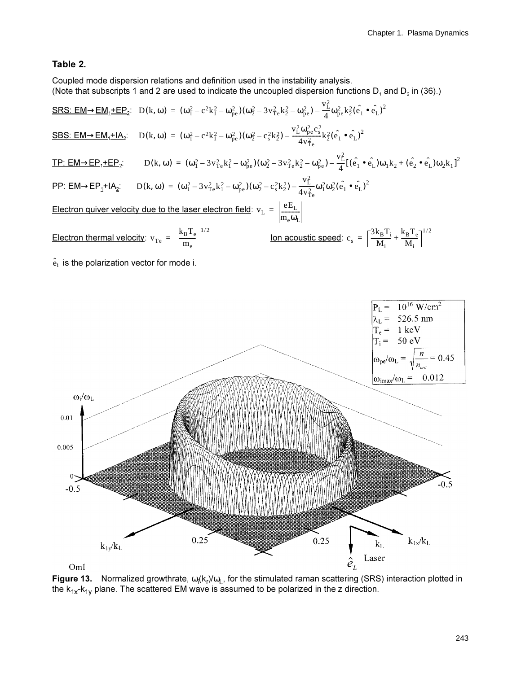#### Table 2.

Coupled mode dispersion relations and definition used in the instability analysis. (Note that subscripts 1 and 2 are used to indicate the uncoupled dispersion functions  $D_1$  and  $D_2$  in (36).)

SRS: EM  $\rightarrow$  EM<sub>1</sub>+EP<sub>2</sub>: D(k, ω) = (ω<sub>1</sub><sup>2</sup> – c<sup>2</sup>k<sub>1</sub><sup>2</sup> – ω<sub>pe</sub>)(ω<sub>2</sub><sup>2</sup> – 3v<sub>1<sup>2</sup>ck<sub>2</sub><sup>2</sup> – ω<sub>pe</sub>) –  $\frac{v_{L}^{2}}{4}$ ω<sub>pe</sub>k<sub>2</sub><sup>2</sup>(e<sub>1</sub> • e<sub>L</sub>)<sup>2</sup></sub> SBS: EM  $\rightarrow$  EM<sub>1</sub>+IA<sub>2</sub>: D(k, ω) = (ω<sub>1</sub><sup>2</sup> - c<sup>2</sup>k<sub>1</sub><sup>2</sup> - ω<sub>pe</sub>)(ω<sub>2</sub><sup>2</sup> - c<sub>s</sub><sup>2</sup>k<sub>2</sub><sup>2</sup>) -  $\frac{v_L^2 \omega_{pe}^2 c_s^2}{4v_{\infty}^2}$ k<sub>2</sub><sup>2</sup>(e<sub>1</sub> • e<sub>L</sub>)<sup>2</sup> <u>TP: EM  $\rightarrow$  EP<sub>1</sub>+EP<sub>2</sub></u>: D(k, ω) = (ω<sub>1</sub><sup>2</sup> - 3v<sub>1<sup>2</sup>e</sub>k<sub>1</sub><sup>2</sup> - ω<sub>pe</sub>)(ω<sub>2</sub><sup>2</sup> - 3v<sub>1</sub><sup>2</sup>ek<sub>2</sub><sup>2</sup> - ω<sub>pe</sub><sub>2</sub>) -  $\frac{v_L^2}{4}[(\hat{e_1} \cdot \hat{e_1})\omega_1 k_2 + (\hat{e_2} \cdot \hat{e_1})\omega_2 k_1]^2$ **PP:** EM  $\rightarrow$  EP<sub>1</sub>+IA<sub>2</sub>: D(k, ω) =  $(\omega_1^2 - 3v_{\text{Te}}^2 k_1^2 - \omega_{\text{pe}}^2)(\omega_2^2 - c_s^2 k_2^2) - \frac{v_L^2}{4v_{\text{Te}}^2} \omega_1^2 \omega_2^2 (\hat{e}_1 \cdot \hat{e}_L)^2$ Electron quiver velocity due to the laser electron field:  $v_L = \frac{eE_L}{m \omega_C}$ Electron thermal velocity:  $v_{Te} = \left(\frac{k_B T_e}{m_e}\right)^{1/2}$ <u>lon acoustic speed</u>:  $c_s = \left[\frac{3k_B T_i}{M_i} + \frac{k_B T_e}{M_i}\right]^{1/2}$ 

 $\hat{e}_i$  is the polarization vector for mode i.



Figure 13. Normalized growthrate,  $\omega_i(k_r)/\omega_L$ , for the stimulated raman scattering (SRS) interaction plotted in the  $k_{1x} - k_{1y}$  plane. The scattered EM wave is assumed to be polarized in the z direction.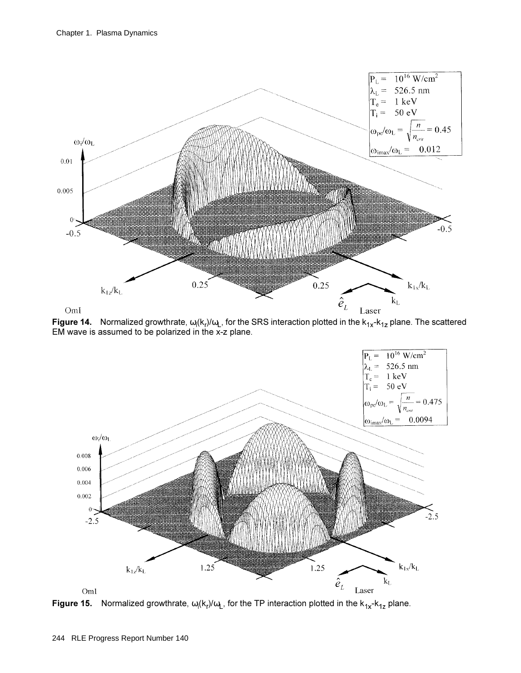

**Figure 14.** Normalized growthrate,  $\omega_i(k_i)/\omega_L$ , for the SRS interaction plotted in the  $k_{1x}$ - $k_{1z}$  plane. The scattered EM wave is assumed to be polarized in the x-z plane.



**Figure 15.** Normalized growthrate,  $\omega_i(k_i)/\omega_L$ , for the TP interaction plotted in the  $k_{1x}$ - $k_{1z}$  plane.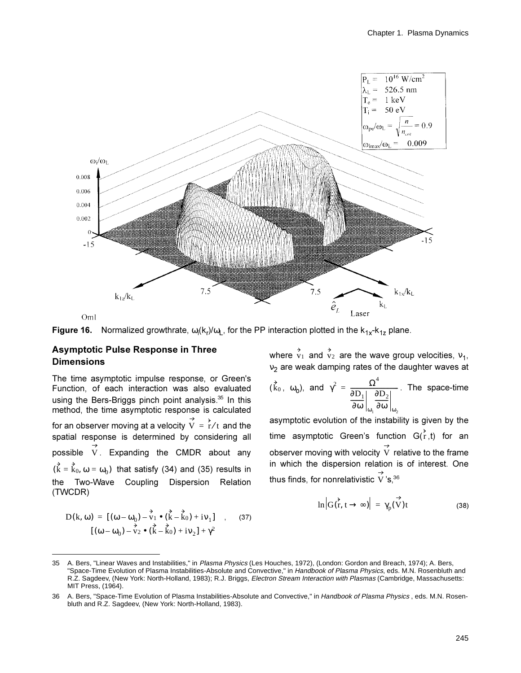



### **Asymptotic Pulse Response in Three Dimensions**

The time asymptotic impulse response, or Green's Function, of each interaction was also evaluated using the Bers-Briggs pinch point analysis.<sup>35</sup> In this method, the time asymptotic response is calculated for an observer moving at a velocity  $\overrightarrow{V} = \overrightarrow{r}/t$  and the spatial response is determined by considering all possible  $\overrightarrow{V}$ . Expanding the CMDR about any  $(\vec{k} = \vec{k}_0, \omega = \omega_0)$  that satisfy (34) and (35) results in the Two-Wave Coupling Dispersion Relation (TWCDR)

$$
D(k, \omega) = [(\omega - \omega_0) - \vec{v}_1 \cdot (\vec{k} - \vec{k}_0) + iv_1] , (37)
$$
  

$$
[(\omega - \omega_0) - \vec{v}_2 \cdot (\vec{k} - \vec{k}_0) + iv_2] + \gamma^2
$$

where  $\overrightarrow{v_1}$  and  $\overrightarrow{v_2}$  are the wave group velocities,  $v_1$ , v<sub>2</sub> are weak damping rates of the daughter waves at

$$
(\vec{k}_0, \omega_0)
$$
, and  $\gamma^2 = \frac{\Omega^4}{\frac{\partial D_1}{\partial \omega} \left| \frac{\partial D_2}{\partial \omega} \right|_{\omega_2}}$ . The space-time

asymptotic evolution of the instability is given by the time asymptotic Green's function  $G(\vec{r},t)$  for an observer moving with velocity  $\overrightarrow{V}$  relative to the frame in which the dispersion relation is of interest. One thus finds, for nonrelativistic  $\overrightarrow{V}$ 's.<sup>36</sup>

$$
\ln |G(\vec{r}, t \to \infty)| = \gamma_p(\vec{V})t \tag{38}
$$

 $35<sup>5</sup>$ A. Bers, "Linear Waves and Instabilities," in Plasma Physics (Les Houches, 1972), (London: Gordon and Breach, 1974); A. Bers, "Space-Time Evolution of Plasma Instabilities-Absolute and Convective," in Handbook of Plasma Physics, eds. M.N. Rosenbluth and R.Z. Sagdeev, (New York: North-Holland, 1983); R.J. Briggs, Electron Stream Interaction with Plasmas (Cambridge, Massachusetts: MIT Press, (1964).

A. Bers, "Space-Time Evolution of Plasma Instabilities-Absolute and Convective," in Handbook of Plasma Physics, eds. M.N. Rosen-36 bluth and R.Z. Sagdeev, (New York: North-Holland, 1983).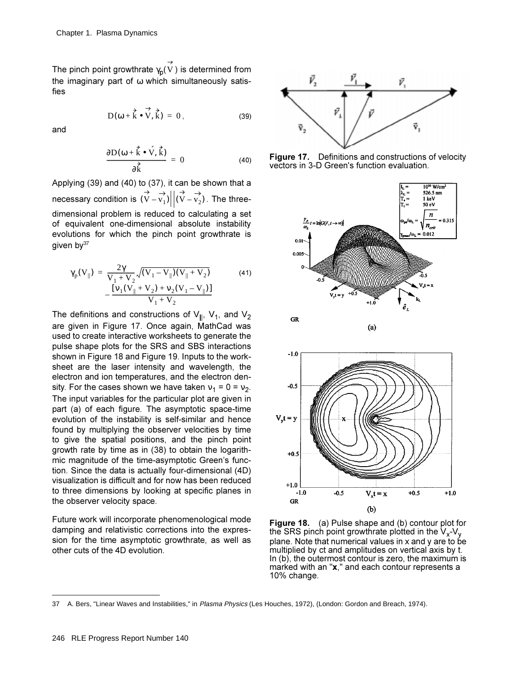The pinch point growthrate  $\gamma_\mathsf{p}(\mathrm{V}\,)$  is determined from the imaginary part of  $\omega$  which simultaneously satisfies

$$
D(\omega + \vec{k} \cdot \vec{V}, \vec{k}) = 0, \qquad (39)
$$

and

$$
\frac{\partial D(\omega + \vec{k} \cdot \vec{V}, \vec{k})}{\partial \vec{k}} = 0
$$
 (40)

Applying  $(39)$  and  $(40)$  to  $(37)$ , it can be shown that a necessary condition is  $\left({\rm V}-{\rm v}_{1} \right) \big|\big| ({\rm V}-{\rm v}_{2})$  . The threedimensional problem is reduced to calculating a set of equivalent one-dimensional absolute instability evolutions for which the pinch point growthrate is given by  $37$ 

$$
\gamma_p(V_{\parallel}) = \frac{2\gamma}{V_1 + V_2} \sqrt{(V_1 - V_{\parallel})(V_{\parallel} + V_2)}
$$
\n
$$
- \frac{[v_1(V_{\parallel} + V_2) + v_2(V_1 - V_{\parallel})]}{V_1 + V_2}
$$
\n(41)

The definitions and constructions of  $V_{\parallel}$ ,  $V_1$ , and  $V_2$ are given in Figure 17. Once again, MathCad was used to create interactive worksheets to generate the pulse shape plots for the SRS and SBS interactions shown in Figure 18 and Figure 19. Inputs to the worksheet are the laser intensity and wavelength, the electron and ion temperatures, and the electron density. For the cases shown we have taken  $v_1 = 0 = v_2$ . The input variables for the particular plot are given in part (a) of each figure. The asymptotic space-time evolution of the instability is self-similar and hence found by multiplying the observer velocities by time to give the spatial positions, and the pinch point growth rate by time as in (38) to obtain the logarithmic magnitude of the time-asymptotic Green's function. Since the data is actually four-dimensional (4D) visualization is difficult and for now has been reduced to three dimensions by looking at specific planes in the observer velocity space.

Future work will incorporate phenomenological mode damping and relativistic corrections into the expression for the time asymptotic growthrate, as well as other cuts of the 4D evolution.



**Figure 17.** Definitions and constructions of velocity vectors in 3-D Green's function evaluation.



Figure 18. (a) Pulse shape and (b) contour plot for the SRS pinch point growthrate plotted in the  $V_x$ -V<sub>v</sub> plane. Note that numerical values in  $x$  and  $y$  are to be multiplied by ct and amplitudes on vertical axis by t. In  $(b)$ , the outermost contour is zero, the maximum is marked with an "x," and each contour represents a 10% change.

<sup>37</sup> A. Bers, "Linear Waves and Instabilities," in Plasma Physics (Les Houches, 1972), (London: Gordon and Breach, 1974).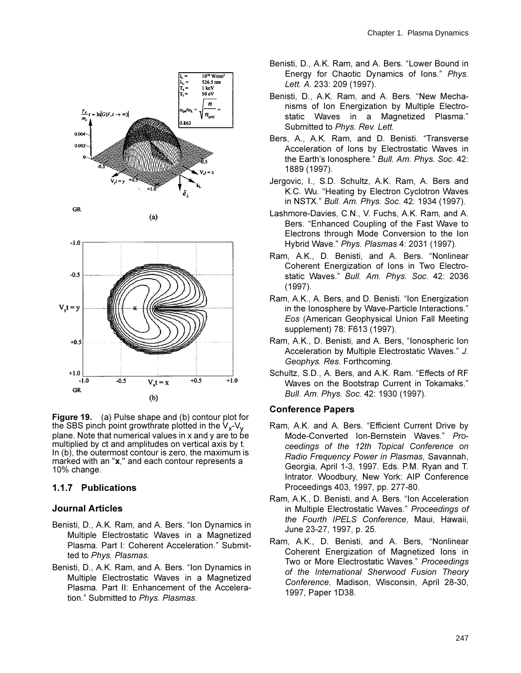



**Figure 19.** (a) Pulse shape and (b) contour plot for the SBS pinch point growthrate plotted in the  $V_y$ -V<sub>y</sub> plane. Note that numerical values in x and y are to be multiplied by ct and amplitudes on vertical axis by t. In (b), the outermost contour is zero, the maximum is marked with an "x," and each contour represents a 10% change.

### 1.1.7 Publications

### **Journal Articles**

- Benisti, D., A.K. Ram. and A. Bers. "Ion Dynamics in Multiple Electrostatic Waves in a Magnetized Plasma, Part I: Coherent Acceleration." Submitted to Phys. Plasmas.
- Benisti, D., A.K. Ram. and A. Bers. "Ion Dynamics in Multiple Electrostatic Waves in a Magnetized Plasma. Part II: Enhancement of the Acceleration." Submitted to Phys. Plasmas.
- Benisti, D., A.K. Ram, and A. Bers. "Lower Bound in Energy for Chaotic Dynamics of Ions." Phys. Lett. A. 233: 209 (1997).
- Benisti, D., A.K. Ram, and A. Bers. "New Mechanisms of Ion Energization by Multiple Electrostatic Waves in a Magnetized Plasma." Submitted to Phys. Rev. Lett.
- Bers, A., A.K. Ram, and D. Benisti. "Transverse Acceleration of Ions by Electrostatic Waves in the Earth's lonosphere." Bull. Am. Phys. Soc. 42: 1889 (1997).
- Jergovic, I., S.D. Schultz, A.K. Ram, A. Bers and K.C. Wu. "Heating by Electron Cyclotron Waves in NSTX." Bull. Am. Phys. Soc. 42: 1934 (1997).
- Lashmore-Davies, C.N., V. Fuchs, A.K. Ram, and A. Bers. "Enhanced Coupling of the Fast Wave to Electrons through Mode Conversion to the Ion Hybrid Wave." Phys. Plasmas 4: 2031 (1997).
- Ram, A.K., D. Benisti, and A. Bers. "Nonlinear Coherent Energization of Ions in Two Electrostatic Waves." Bull. Am. Phys. Soc. 42: 2036  $(1997)$ .
- Ram, A.K., A. Bers, and D. Benisti. "Ion Energization in the lonosphere by Wave-Particle Interactions." Eos (American Geophysical Union Fall Meeting supplement) 78: F613 (1997).
- Ram, A.K., D. Benisti, and A. Bers, "Ionospheric Ion Acceleration by Multiple Electrostatic Waves." J. Geophys. Res. Forthcoming.
- Schultz, S.D., A. Bers, and A.K. Ram. "Effects of RF Waves on the Bootstrap Current in Tokamaks." Bull. Am. Phys. Soc. 42: 1930 (1997).

### **Conference Papers**

- Ram, A.K. and A. Bers. "Efficient Current Drive by Mode-Converted Ion-Bernstein Waves." Proceedings of the 12th Topical Conference on Radio Frequency Power in Plasmas, Savannah, Georgia, April 1-3, 1997. Eds. P.M. Ryan and T. Intrator. Woodbury, New York: AIP Conference Proceedings 403, 1997, pp. 277-80.
- Ram, A.K., D. Benisti, and A. Bers. "Ion Acceleration in Multiple Electrostatic Waves." Proceedings of the Fourth IPELS Conference, Maui, Hawaii, June 23-27, 1997, p. 25.
- Ram, A.K., D. Benisti, and A. Bers, "Nonlinear Coherent Energization of Magnetized Ions in Two or More Electrostatic Waves." Proceedings of the International Sherwood Fusion Theory Conference, Madison, Wisconsin, April 28-30, 1997, Paper 1D38.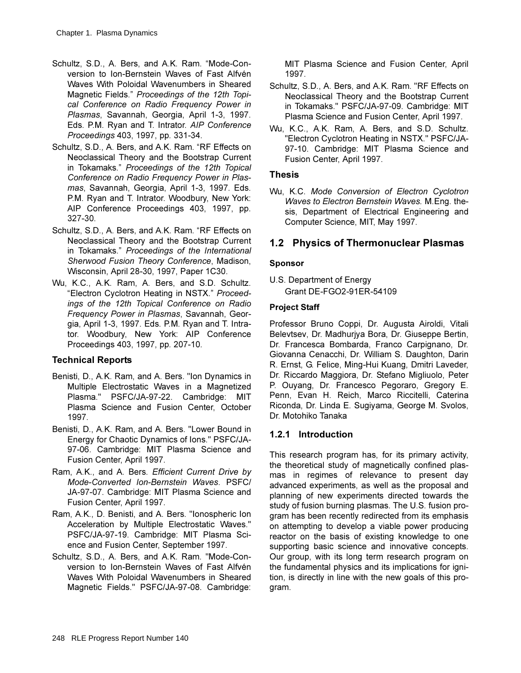- Schultz, S.D., A. Bers, and A.K. Ram. "Mode-Conversion to Ion-Bernstein Waves of Fast Alfvén Waves With Poloidal Wavenumbers in Sheared Magnetic Fields." Proceedings of the 12th Topi*cal Conference on Radio Frequency Power in* Plasmas, Savannah, Georgia, April 1-3, 1997. Eds. P.M. Ryan and T. Intrator. AIP Conference *Proceedings* 403, 1997, pp. 331-34.
- Schultz, S.D., A. Bers, and A.K. Ram. "RF Effects on Neoclassical Theory and the Bootstrap Current in Tokamaks." Proceedings of the 12th Topical Conference on Radio Frequency Power in Plas*mas*, Savannah, Georgia, April 1-3, 1997. Eds. P.M. Ryan and T. Intrator. Woodbury, New York: AIP Conference Proceedings 403, 1997, pp. 327-30.
- Schultz, S.D., A. Bers, and A.K. Ram. "RF Effects on Neoclassical Theory and the Bootstrap Current in Tokamaks." Proceedings of the International Sherwood Fusion Theory Conference, Madison, Wisconsin, April 28-30, 1997, Paper 1C30.
- Wu, K.C., A.K. Ram, A. Bers, and S.D. Schultz. "Electron Cyclotron Heating in NSTX." Proceedings of the 12th Topical Conference on Radio *Frequency Power in Plasmas, Savannah, Geor*gia, April 1-3, 1997. Eds. P.M. Ryan and T. Intrator. Woodbury, New York: AIP Conference Proceedings 403, 1997, pp. 207-10.

### **Technical Reports**

- Benisti, D., A.K. Ram, and A. Bers. "Ion Dynamics in Multiple Electrostatic Waves in a Magnetized Plasma." PSFC/JA-97-22. Cambridge: MIT Plasma Science and Fusion Center, October 1997.
- Benisti, D., A.K. Ram, and A. Bers. "Lower Bound in Energy for Chaotic Dynamics of Ions." PSFC/JA-97-06. Cambridge: MIT Plasma Science and Fusion Center, April 1997.
- Ram, A.K., and A. Bers. Efficient Current Drive by *Mode-Converted Ion-Bernstein Waves. PSFC/* JA-97-07. Cambridge: MIT Plasma Science and Fusion Center, April 1997.
- Ram, A.K., D. Benisti, and A. Bers. "Ionospheric Ion Acceleration by Multiple Electrostatic Waves." PSFC/JA-97-19. Cambridge: MIT Plasma Science and Fusion Center, September 1997.
- Schultz, S.D., A. Bers, and A.K. Ram. "Mode-Conversion to Ion-Bernstein Waves of Fast Alfvén Waves With Poloidal Wavenumbers in Sheared Magnetic Fields." PSFC/JA-97-08. Cambridge:

MIT Plasma Science and Fusion Center, April 1997.

- Schultz, S.D., A. Bers, and A.K. Ram. "RF Effects on Neoclassical Theory and the Bootstrap Current in Tokamaks." PSFC/JA-97-09. Cambridge: MIT Plasma Science and Fusion Center, April 1997.
- Wu, K.C., A.K. Ram, A. Bers, and S.D. Schultz. "Electron Cyclotron Heating in NSTX." PSFC/JA-97-10. Cambridge: MIT Plasma Science and Fusion Center, April 1997.

### **Thesis**

Wu, K.C. Mode Conversion of Electron Cyclotron *Waves to Electron Bernstein Waves. M.Eng. the*sis, Department of Electrical Engineering and Computer Science, MIT, May 1997.

# **1.2 Physics of Thermonuclear Plasmas**

### **Sponsor**

U.S. Department of Energy Grant DE-FGO2-91ER-54109

### **Project Staff**

Professor Bruno Coppi, Dr. Augusta Airoldi, Vitali Belevtsev, Dr. Madhurjya Bora, Dr. Giuseppe Bertin, Dr. Francesca Bombarda, Franco Carpignano, Dr. Giovanna Cenacchi, Dr. William S. Daughton, Darin R. Ernst, G. Felice, Ming-Hui Kuang, Dmitri Laveder, Dr. Riccardo Maggiora, Dr. Stefano Migliuolo, Peter P. Ouyang, Dr. Francesco Pegoraro, Gregory E. Penn, Evan H. Reich, Marco Riccitelli, Caterina Riconda, Dr. Linda E. Sugiyama, George M. Svolos, Dr. Motohiko Tanaka

### **1.2.1 Introduction**

This research program has, for its primary activity, the theoretical study of magnetically confined plasmas in regimes of relevance to present day advanced experiments, as well as the proposal and planning of new experiments directed towards the study of fusion burning plasmas. The U.S. fusion program has been recently redirected from its emphasis on attempting to develop a viable power producing reactor on the basis of existing knowledge to one supporting basic science and innovative concepts. Our group, with its long term research program on the fundamental physics and its implications for ignition, is directly in line with the new goals of this program.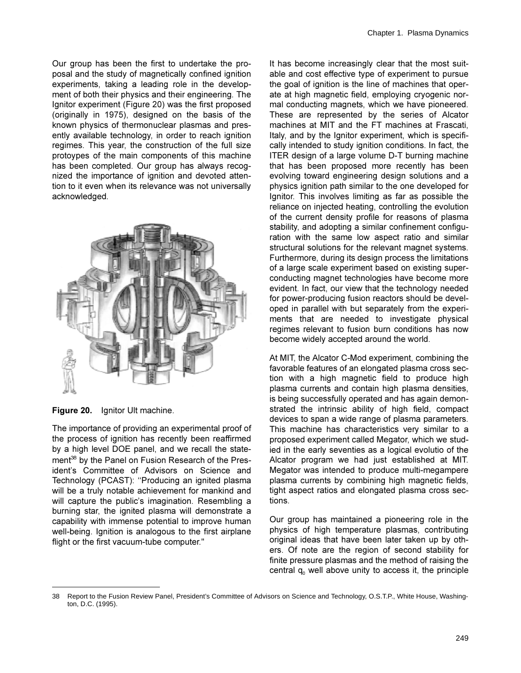Our group has been the first to undertake the proposal and the study of magnetically confined ignition experiments, taking a leading role in the development of both their physics and their engineering. The Ignitor experiment (Figure 20) was the first proposed (originally in 1975), designed on the basis of the known physics of thermonuclear plasmas and presently available technology, in order to reach ignition regimes. This year, the construction of the full size protoypes of the main components of this machine has been completed. Our group has always recognized the importance of ignition and devoted attention to it even when its relevance was not universally acknowledged.



**Figure 20.** Ignitor Ult machine.

The importance of providing an experimental proof of the process of ignition has recently been reaffirmed by a high level DOE panel, and we recall the statement<sup>38</sup> by the Panel on Fusion Research of the President's Committee of Advisors on Science and Technology (PCAST): "Producing an ignited plasma will be a truly notable achievement for mankind and will capture the public's imagination. Resembling a burning star, the ignited plasma will demonstrate a capability with immense potential to improve human well-being. Ignition is analogous to the first airplane flight or the first vacuum-tube computer."

It has become increasingly clear that the most suitable and cost effective type of experiment to pursue the goal of ignition is the line of machines that operate at high magnetic field, employing cryogenic normal conducting magnets, which we have pioneered. These are represented by the series of Alcator machines at MIT and the FT machines at Frascati, Italy, and by the Ignitor experiment, which is specifically intended to study ignition conditions. In fact, the ITER design of a large volume D-T burning machine that has been proposed more recently has been evolving toward engineering design solutions and a physics ignition path similar to the one developed for Ignitor. This involves limiting as far as possible the reliance on injected heating, controlling the evolution of the current density profile for reasons of plasma stability, and adopting a similar confinement configuration with the same low aspect ratio and similar structural solutions for the relevant magnet systems. Furthermore, during its design process the limitations of a large scale experiment based on existing superconducting magnet technologies have become more evident. In fact, our view that the technology needed for power-producing fusion reactors should be developed in parallel with but separately from the experiments that are needed to investigate physical regimes relevant to fusion burn conditions has now become widely accepted around the world.

At MIT, the Alcator C-Mod experiment, combining the favorable features of an elongated plasma cross section with a high magnetic field to produce high plasma currents and contain high plasma densities, is being successfully operated and has again demonstrated the intrinsic ability of high field, compact devices to span a wide range of plasma parameters. This machine has characteristics very similar to a proposed experiment called Megator, which we studied in the early seventies as a logical evolutio of the Alcator program we had just established at MIT. Megator was intended to produce multi-megampere plasma currents by combining high magnetic fields. tight aspect ratios and elongated plasma cross sections.

Our group has maintained a pioneering role in the physics of high temperature plasmas, contributing original ideas that have been later taken up by others. Of note are the region of second stability for finite pressure plasmas and the method of raising the central  $q_0$  well above unity to access it, the principle

<sup>38</sup> Report to the Fusion Review Panel, President's Committee of Advisors on Science and Technology, O.S.T.P., White House, Washington, D.C. (1995).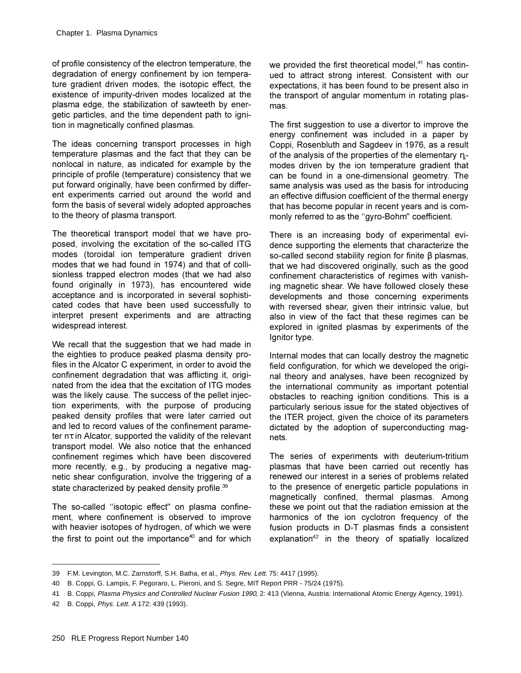of profile consistency of the electron temperature, the degradation of energy confinement by ion temperature gradient driven modes, the isotopic effect, the existence of impurity-driven modes localized at the plasma edge, the stabilization of sawteeth by energetic particles, and the time dependent path to ignition in magnetically confined plasmas.

The ideas concerning transport processes in high temperature plasmas and the fact that they can be nonlocal in nature, as indicated for example by the principle of profile (temperature) consistency that we put forward originally, have been confirmed by different experiments carried out around the world and form the basis of several widely adopted approaches to the theory of plasma transport.

The theoretical transport model that we have proposed, involving the excitation of the so-called ITG modes (toroidal ion temperature gradient driven modes that we had found in 1974) and that of collisionless trapped electron modes (that we had also found originally in 1973), has encountered wide acceptance and is incorporated in several sophisticated codes that have been used successfully to interpret present experiments and are attracting widespread interest.

We recall that the suggestion that we had made in the eighties to produce peaked plasma density profiles in the Alcator C experiment, in order to avoid the confinement degradation that was afflicting it, originated from the idea that the excitation of ITG modes was the likely cause. The success of the pellet injection experiments, with the purpose of producing peaked density profiles that were later carried out and led to record values of the confinement parameter  $n\tau$  in Alcator, supported the validity of the relevant transport model. We also notice that the enhanced confinement regimes which have been discovered more recently, e.g., by producing a negative magnetic shear configuration, involve the triggering of a state characterized by peaked density profile. $39$ 

The so-called "isotopic effect" on plasma confinement, where confinement is observed to improve with heavier isotopes of hydrogen, of which we were the first to point out the importance<sup>40</sup> and for which we provided the first theoretical model, $41$  has continued to attract strong interest. Consistent with our expectations, it has been found to be present also in the transport of angular momentum in rotating plasmas

The first suggestion to use a divertor to improve the energy confinement was included in a paper by Coppi, Rosenbluth and Sagdeev in 1976, as a result of the analysis of the properties of the elementary ηmodes driven by the ion temperature gradient that can be found in a one-dimensional geometry. The same analysis was used as the basis for introducing an effective diffusion coefficient of the thermal energy that has become popular in recent years and is commonly referred to as the "gyro-Bohm" coefficient.

There is an increasing body of experimental evidence supporting the elements that characterize the so-called second stability region for finite  $\beta$  plasmas, that we had discovered originally, such as the good confinement characteristics of regimes with vanishing magnetic shear. We have followed closely these developments and those concerning experiments with reversed shear, given their intrinsic value, but also in view of the fact that these regimes can be explored in ignited plasmas by experiments of the Ignitor type.

Internal modes that can locally destroy the magnetic field configuration, for which we developed the original theory and analyses, have been recognized by the international community as important potential obstacles to reaching ignition conditions. This is a particularly serious issue for the stated objectives of the ITER project, given the choice of its parameters dictated by the adoption of superconducting magnets.

The series of experiments with deuterium-tritium plasmas that have been carried out recently has renewed our interest in a series of problems related to the presence of energetic particle populations in magnetically confined, thermal plasmas. Among these we point out that the radiation emission at the harmonics of the ion cyclotron frequency of the fusion products in D-T plasmas finds a consistent explanation<sup>42</sup> in the theory of spatially localized

<sup>39</sup> F.M. Levington, M.C. Zarnstorff, S.H. Batha, et al., Phys. Rev. Lett. 75: 4417 (1995).

<sup>40</sup> B. Coppi, G. Lampis, F. Pegoraro, L. Pieroni, and S. Segre, MIT Report PRR - 75/24 (1975).

<sup>41</sup> B. Coppi, Plasma Physics and Controlled Nuclear Fusion 1990, 2: 413 (Vienna, Austria: International Atomic Energy Agency, 1991).

<sup>42</sup> B. Coppi, Phys. Lett. A 172: 439 (1993).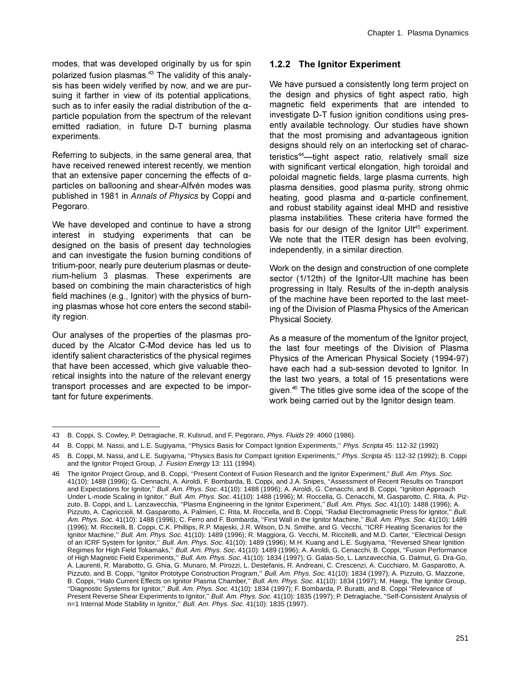modes, that was developed originally by us for spin polarized fusion plasmas.<sup>43</sup> The validity of this analysis has been widely verified by now, and we are pursuing it farther in view of its potential applications, such as to infer easily the radial distribution of the  $\alpha$ particle population from the spectrum of the relevant emitted radiation, in future D-T burning plasma experiments.

Referring to subjects, in the same general area, that have received renewed interest recently, we mention that an extensive paper concerning the effects of  $\alpha$ particles on ballooning and shear-Alfvén modes was published in 1981 in Annals of Physics by Coppi and Pegoraro.

We have developed and continue to have a strong interest in studying experiments that can be designed on the basis of present day technologies and can investigate the fusion burning conditions of tritium-poor, nearly pure deuterium plasmas or deuterium-helium 3 plasmas. These experiments are based on combining the main characteristics of high field machines (e.g., Ignitor) with the physics of burning plasmas whose hot core enters the second stability region.

Our analyses of the properties of the plasmas produced by the Alcator C-Mod device has led us to identify salient characteristics of the physical regimes that have been accessed, which give valuable theoretical insights into the nature of the relevant energy transport processes and are expected to be important for future experiments.

### 1.2.2 The Ignitor Experiment

We have pursued a consistently long term project on the design and physics of tight aspect ratio, high magnetic field experiments that are intended to investigate D-T fusion ignition conditions using presently available technology. Our studies have shown that the most promising and advantageous ignition designs should rely on an interlocking set of characteristics<sup>44</sup>—tight aspect ratio, relatively small size with significant vertical elongation, high toroidal and poloidal magnetic fields, large plasma currents, high plasma densities, good plasma purity, strong ohmic heating, good plasma and  $\alpha$ -particle confinement, and robust stability against ideal MHD and resistive plasma instabilities. These criteria have formed the basis for our design of the Ignitor Ult<sup>45</sup> experiment. We note that the ITER design has been evolving. independently, in a similar direction.

Work on the design and construction of one complete sector (1/12th) of the Ignitor-Ult machine has been progressing in Italy. Results of the in-depth analysis of the machine have been reported to the last meeting of the Division of Plasma Physics of the American Physical Society.

As a measure of the momentum of the Ignitor project, the last four meetings of the Division of Plasma Physics of the American Physical Society (1994-97) have each had a sub-session devoted to Ignitor. In the last two years, a total of 15 presentations were given.<sup>46</sup> The titles give some idea of the scope of the work being carried out by the Ignitor design team.

<sup>43</sup> B. Coppi, S. Cowley, P. Detragiache, R. Kulsrud, and F. Pegoraro, Phys. Fluids 29: 4060 (1986).

<sup>44</sup> B. Coppi, M. Nassi, and L.E. Sugiyama, "Physics Basis for Compact Ignition Experiments," Phys. Scripta 45: 112-32 (1992)

<sup>45</sup> B. Coppi, M. Nassi, and L.E. Sugiyama, "Physics Basis for Compact Ignition Experiments," Phys. Scripta 45: 112-32 (1992); B. Coppi and the Ignitor Project Group, J. Fusion Energy 13: 111 (1994).

The Ignitor Project Group, and B. Coppi, "Present Context of Fusion Research and the Ignitor Experiment," Bull. Am. Phys. Soc. 41(10): 1488 (1996); G. Cennachi, A. Airoldi, F. Bombarda, B. Coppi, and J.A. Snipes, "Assessment of Recent Results on Transport and Expectations for Ignitor," Bull. Am. Phys. Soc. 41(10): 1488 (1996); A. Airoldi, G. Cenacchi, and B. Coppi, "Ignition Approach Under L-mode Scaling in Ignitor," Bull. Am. Phys. Soc. 41(10): 1488 (1996); M. Roccella, G. Cenacchi, M. Gasparotto, C. Rita, A. Pizzuto, B. Coppi, and L. Lanzavecchia, "Plasma Engineering in the Ignitor Experiment," Bull. Am. Phys. Soc. 41(10): 1488 (1996); A. Pizzuto, A. Capriccioli, M. Gasparotto, A. Palmieri, C. Rita, M. Roccella, and B. Coppi, "Radial Electromagnetic Press for Ignitor," Bull. Am. Phys. Soc. 41(10): 1488 (1996); C. Ferro and F. Bombarda, "First Wall in the Ignitor Machine," Bull. Am. Phys. Soc. 41(10): 1489 (1996); M. Riccitelli, B. Coppi, C.K. Phillips, R.P. Majeski, J.R. Wilson, D.N. Smithe, and G. Vecchi, "ICRF Heating Scenarios for the Ignitor Machine," Bull. Am. Phys. Soc. 41(10): 1489 (1996); R. Maggiora, G. Vecchi, M. Riccitelli, and M.D. Carter, "Electrical Design of an ICRF System for Ignitor," Bull. Am. Phys. Soc. 41(10): 1489 (1996); M.H. Kuang and L.E. Sugiyama, "Reversed Shear Ignition Regimes for High Field Tokamaks," Bull. Am. Phys. Soc. 41(10): 1489 (1996); A. Airoldi, G. Cenacchi, B. Coppi, "Fusion Performance of High Magnetic Field Experiments," Bull. Am. Phys. Soc. 41(10): 1834 (1997); G. Galas-So, L. Lanzavecchia, G. Dalmut, G. Dra-Go, A. Laurenti, R. Marabotto, G. Ghia, G. Munaro, M. Pirozzi, L. Destefanis, R. Andreani, C. Crescenzi, A. Cucchiaro, M. Gasparotto, A. Pizzuto, and B. Coppi, "Ignitor Prototype Construction Program," Bull. Am. Phys. Soc. 41(10): 1834 (1997); A. Pizzuto, G. Mazzone, B. Coppi, "Halo Current Effects on Ignitor Plasma Chamber," Bull. Am. Phys. Soc. 41(10): 1834 (1997); M. Haegi, The Ignitor Group, "Diagnostic Systems for Ignitor," Bull. Am. Phys. Soc. 41(10): 1834 (1997); F. Bombarda, P. Buratti, and B. Coppi "Relevance of Present Reverse Shear Experiments to Ignitor," Bull. Am. Phys. Soc. 41(10): 1835 (1997); P. Detragiache, "Self-Consistent Analysis of n=1 Internal Mode Stability in Ignitor," Bull. Am. Phys. Soc. 41(10): 1835 (1997).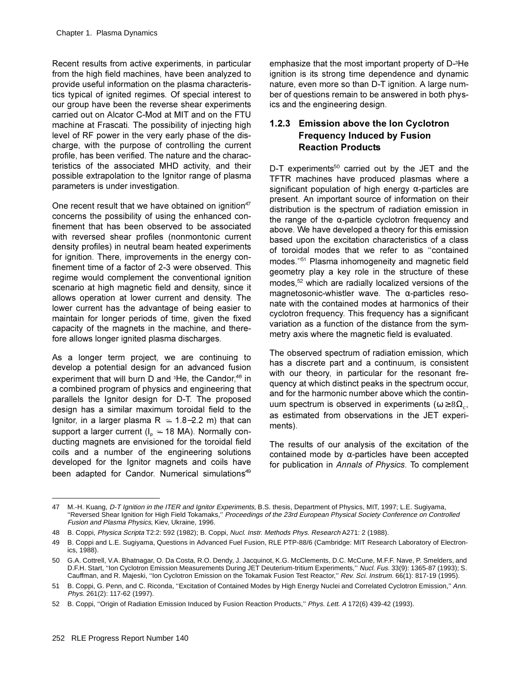Recent results from active experiments, in particular from the high field machines, have been analyzed to provide useful information on the plasma characteristics typical of ignited regimes. Of special interest to our group have been the reverse shear experiments carried out on Alcator C-Mod at MIT and on the FTU machine at Frascati. The possibility of injecting high level of RF power in the very early phase of the discharge, with the purpose of controlling the current profile, has been verified. The nature and the characteristics of the associated MHD activity, and their possible extrapolation to the Ignitor range of plasma parameters is under investigation.

One recent result that we have obtained on ignition<sup>47</sup> concerns the possibility of using the enhanced confinement that has been observed to be associated with reversed shear profiles (nonmontonic current density profiles) in neutral beam heated experiments for ignition. There, improvements in the energy confinement time of a factor of 2-3 were observed. This regime would complement the conventional ignition scenario at high magnetic field and density, since it allows operation at lower current and density. The lower current has the advantage of being easier to maintain for longer periods of time, given the fixed capacity of the magnets in the machine, and therefore allows longer ignited plasma discharges.

As a longer term project, we are continuing to develop a potential design for an advanced fusion experiment that will burn D and <sup>3</sup>He, the Candor,<sup>48</sup> in a combined program of physics and engineering that parallels the Ignitor design for D-T. The proposed design has a similar maximum toroidal field to the Ignitor, in a larger plasma  $R \approx 1.8-2.2$  m) that can support a larger current ( $I_n \approx 18$  MA). Normally conducting magnets are envisioned for the toroidal field coils and a number of the engineering solutions developed for the Ignitor magnets and coils have been adapted for Candor. Numerical simulations<sup>49</sup>

emphasize that the most important property of D-<sup>3</sup>He ignition is its strong time dependence and dynamic nature, even more so than D-T ignition. A large number of questions remain to be answered in both physics and the engineering design.

# 1.2.3 Emission above the lon Cyclotron **Frequency Induced by Fusion Reaction Products**

D-T experiments<sup>50</sup> carried out by the JET and the TFTR machines have produced plasmas where a significant population of high energy  $\alpha$ -particles are present. An important source of information on their distribution is the spectrum of radiation emission in the range of the  $\alpha$ -particle cyclotron frequency and above. We have developed a theory for this emission based upon the excitation characteristics of a class of toroidal modes that we refer to as "contained modes."<sup>51</sup> Plasma inhomogeneity and magnetic field geometry play a key role in the structure of these modes,<sup>52</sup> which are radially localized versions of the magnetosonic-whistler wave. The  $\alpha$ -particles resonate with the contained modes at harmonics of their cyclotron frequency. This frequency has a significant variation as a function of the distance from the symmetry axis where the magnetic field is evaluated.

The observed spectrum of radiation emission, which has a discrete part and a continuum, is consistent with our theory, in particular for the resonant frequency at which distinct peaks in the spectrum occur. and for the harmonic number above which the continuum spectrum is observed in experiments ( $\omega \geq 8\Omega_{c}$ , as estimated from observations in the JET experiments).

The results of our analysis of the excitation of the contained mode by  $\alpha$ -particles have been accepted for publication in Annals of Physics. To complement

<sup>47</sup> M.-H. Kuang, D-T Ignition in the ITER and Ignitor Experiments, B.S. thesis, Department of Physics, MIT, 1997; L.E. Sugiyama, "Reversed Shear Ignition for High Field Tokamaks," Proceedings of the 23rd European Physical Society Conference on Controlled Fusion and Plasma Physics, Kiev, Ukraine, 1996.

<sup>48</sup> B. Coppi, Physica Scripta T2:2: 592 (1982); B. Coppi, Nucl. Instr. Methods Phys. Research A271: 2 (1988).

<sup>49</sup> B. Coppi and L.E. Sugiyama, Questions in Advanced Fuel Fusion, RLE PTP-88/6 (Cambridge: MIT Research Laboratory of Electronics, 1988).

<sup>50</sup> G.A. Cottrell, V.A. Bhatnagar, O. Da Costa, R.O. Dendy, J. Jacquinot, K.G. McClements, D.C. McCune, M.F.F. Nave, P. Smelders, and D.F.H. Start, "Ion Cyclotron Emission Measurements During JET Deuterium-tritium Experiments," Nucl. Fus. 33(9): 1365-87 (1993); S. Cauffman, and R. Majeski, "Ion Cyclotron Emission on the Tokamak Fusion Test Reactor," Rev. Sci. Instrum. 66(1): 817-19 (1995).

<sup>51</sup> B. Coppi, G. Penn, and C. Riconda, "Excitation of Contained Modes by High Energy Nuclei and Correlated Cyclotron Emission," Ann. Phys. 261(2): 117-62 (1997).

<sup>52</sup> B. Coppi, "Origin of Radiation Emission Induced by Fusion Reaction Products," Phys. Lett. A 172(6) 439-42 (1993).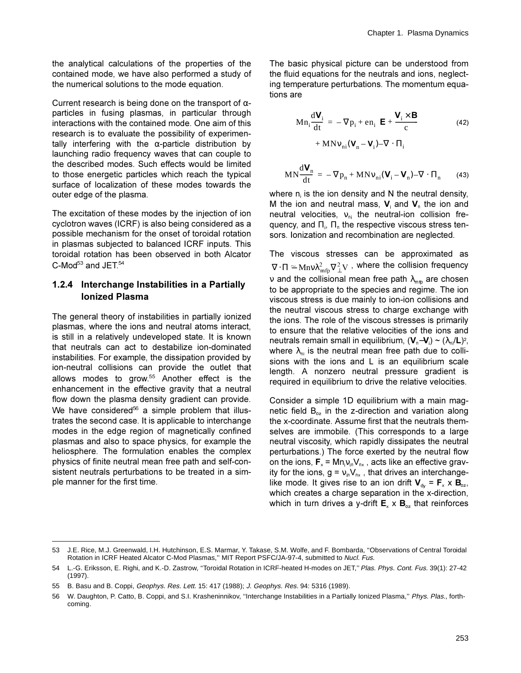the analytical calculations of the properties of the contained mode, we have also performed a study of the numerical solutions to the mode equation.

Current research is being done on the transport of  $\alpha$ particles in fusing plasmas, in particular through interactions with the contained mode. One aim of this research is to evaluate the possibility of experimentally interfering with the  $\alpha$ -particle distribution by launching radio frequency waves that can couple to the described modes. Such effects would be limited to those energetic particles which reach the typical surface of localization of these modes towards the outer edge of the plasma.

The excitation of these modes by the injection of ion cyclotron waves (ICRF) is also being considered as a possible mechanism for the onset of toroidal rotation in plasmas subjected to balanced ICRF inputs. This toroidal rotation has been observed in both Alcator C-Mod<sup>53</sup> and JET.<sup>54</sup>

### **1.2.4 Interchange Instabilities in a Partially lonized Plasma**

The general theory of instabilities in partially ionized plasmas, where the ions and neutral atoms interact, is still in a relatively undeveloped state. It is known that neutrals can act to destabilize ion-dominated instabilities. For example, the dissipation provided by ion-neutral collisions can provide the outlet that allows modes to grow. $55$  Another effect is the enhancement in the effective gravity that a neutral flow down the plasma density gradient can provide. We have considered<sup>56</sup> a simple problem that illustrates the second case. It is applicable to interchange modes in the edge region of magnetically confined plasmas and also to space physics, for example the heliosphere. The formulation enables the complex physics of finite neutral mean free path and self-consistent neutrals perturbations to be treated in a simple manner for the first time.

The basic physical picture can be understood from the fluid equations for the neutrals and ions, neglecting temperature perturbations. The momentum equations are

$$
M n_i \frac{dV_i}{dt} = -\nabla p_i + en_i \left( \mathbf{E} + \frac{\mathbf{V}_i \times \mathbf{B}}{c} \right)
$$
  
+ MNv\_{ni} (\mathbf{V}\_n - \mathbf{V}\_i) - \nabla \cdot \Pi\_i (42)

$$
MN\frac{d\mathbf{V}_n}{dt} = -\nabla p_n + MNv_{ni}(\mathbf{V}_i - \mathbf{V}_n) - \nabla \cdot \Pi_n \qquad (43)
$$

where  $n_i$  is the ion density and N the neutral density, M the ion and neutral mass, V<sub>i</sub> and V<sub>n</sub> the ion and neutral velocities,  $v_{ni}$  the neutral-ion collision frequency, and  $\Pi_{\text{i}}$ ,  $\Pi_{\text{n}}$  the respective viscous stress tensors. Ionization and recombination are neglected.

The viscous stresses can be approximated as  $\nabla\!\cdot\!\Pi \cong \mathop{\rm Mnv}\nolimits \lambda_{\rm mfp}^2 \nabla_\perp^2 \mathrm{V}$  , where the collision frequency v and the collisional mean free path  $\lambda_{\text{mfp}}$  are chosen to be appropriate to the species and regime. The ion viscous stress is due mainly to ion-ion collisions and the neutral viscous stress to charge exchange with the ions. The role of the viscous stresses is primarily to ensure that the relative velocities of the ions and neutrals remain small in equilibrium, (**V**<sub>n</sub>–**V**<sub>i</sub>) ~ (λ<sub>ni</sub>/**L**)<sup>2</sup>, where  $\lambda_{ni}$  is the neutral mean free path due to collisions with the ions and L is an equilibrium scale length. A nonzero neutral pressure gradient is required in equilibrium to drive the relative velocities.

Consider a simple 1D equilibrium with a main magnetic field  $B_{\alpha}$  in the z-direction and variation along the x-coordinate. Assume first that the neutrals themselves are immobile. (This corresponds to a large neutral viscosity, which rapidly dissipates the neutral perturbations.) The force exerted by the neutral flow on the ions,  $\mathbf{F}_{\mathsf{x}}$  = Mn $_{\mathsf{V}\text{in}}$ V<sub>nx</sub> , acts like an effective gravity for the ions,  $g = v_{in}V_{nx}$ , that drives an interchangelike mode. It gives rise to an ion drift  $V_{dy} = F_x \times B_{\infty}$ , which creates a charge separation in the x-direction, which in turn drives a y-drift  $\mathbf{E}_x \times \mathbf{B}_{\alpha}$  that reinforces

<sup>53</sup> J.E. Rice, M.J. Greenwald, I.H. Hutchinson, E.S. Marmar, Y. Takase, S.M. Wolfe, and F. Bombarda, ''Observations of Central Toroidal Rotation in ICRF Heated Alcator C-Mod Plasmas,'' MIT Report PSFC/JA-97-4, submitted to Nucl. Fus.

<sup>54</sup> L.-G. Eriksson, E. Righi, and K.-D. Zastrow, ''Toroidal Rotation in ICRF-heated H-modes on JET,'' Plas. Phys. Cont. Fus. 39(1): 27-42 (1997).

<sup>55</sup> B. Basu and B. Coppi, Geophys. Res. Lett. 15: 417 (1988); J. Geophys. Res. 94: 5316 (1989).

<sup>56</sup> W. Daughton, P. Catto, B. Coppi, and S.I. Krasheninnikov, ''Interchange Instabilities in a Partially Ionized Plasma,'' Phys. Plas., forthcoming.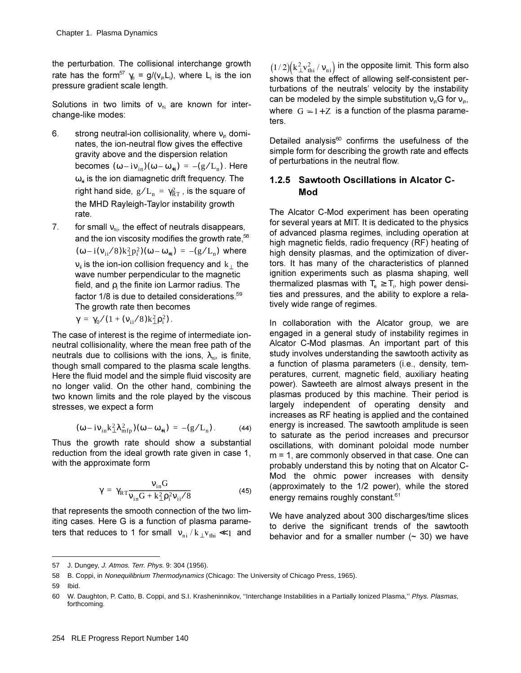the perturbation. The collisional interchange growth rate has the form<sup>57</sup>  $\gamma_{0} = g/(\mathsf{v}_{in} \mathsf{L}_{i})$ , where  $\mathsf{L}_{i}$  is the ion pressure gradient scale length.

Solutions in two limits of  $v_{ni}$  are known for interchange-like modes:

- 6. strong neutral-ion collisionality, where  $v_n$  dominates, the ion-neutral flow gives the effective gravity above and the dispersion relation becomes  $(\omega - i v_{in})(\omega - \omega_{*i}) = -(g/L_n)$ . Here  $\omega_{*}$  is the ion diamagnetic drift frequency. The right hand side,  $g/L_{\rm n} = \gamma_{\rm RT}^2$  , is the square of the MHD Rayleigh-Taylor instability growth rate.
- 7. for small  $v_{ni}$ , the effect of neutrals disappears, and the ion viscosity modifies the growth rate,  $58$  $(\omega - i(\nu_{ii}/8)k_{\perp}^2 p_i^2)(\omega - \omega_{*i}) = -(g/L_n)$  where  $\bm{\mathsf{v}}_{\text{u}}$  is the ion-ion collision frequency and  $\textbf{k}_\perp$  the wave number perpendicular to the magnetic field, and  $\rho_i$  the finite ion Larmor radius. The factor  $1/8$  is due to detailed considerations.<sup>59</sup> The growth rate then becomes

$$
\gamma=\,\gamma_0/(1+(\nu_{ii}/8)k_\perp^2\rho_i^2)\,.
$$

The case of interest is the regime of intermediate ionneutral collisionality, where the mean free path of the neutrals due to collisions with the ions,  $\lambda_{ni}$ , is finite, though small compared to the plasma scale lengths. Here the fluid model and the simple fluid viscosity are no longer valid. On the other hand, combining the two known limits and the role played by the viscous stresses, we expect a form

$$
(\omega - i\nu_{in}k_{\perp}^2\lambda_{mfp}^2)(\omega - \omega_{*i}) = -(g/L_n). \tag{44}
$$

Thus the growth rate should show a substantial reduction from the ideal growth rate given in case 1, with the approximate form

$$
\gamma = \gamma_{RT} \frac{v_{in} G}{v_{in} G + k_{\perp}^2 \rho_i^2 v_{ii}/8}
$$
(45)

that represents the smooth connection of the two limiting cases. Here G is a function of plasma parameters that reduces to 1 for small  $|{\bf v}_{\rm ni}/{\bf k}_{\perp}{\bf v}_{\rm thi}\ll 1\;$  and

 $(1/2) \big( \mathrm{k}_\perp^2 \mathrm{v}_{\mathrm{th}}^2$  /  $\mathrm{v}_{\mathrm{ni}} \big)$  in the opposite limit. This form also shows that the effect of allowing self-consistent perturbations of the neutrals' velocity by the instability can be modeled by the simple substitution  $v_nG$  for  $v_n$ , where  $|{\rm G}\simeq 1\!+\!{\rm Z}|$  is a function of the plasma parameters.

Detailed analysis $^{60}$  confirms the usefulness of the simple form for describing the growth rate and effects of perturbations in the neutral flow.

### **1.2.5 Sawtooth Oscillations in Alcator C-Mod**

The Alcator C-Mod experiment has been operating for several years at MIT. It is dedicated to the physics of advanced plasma regimes, including operation at high magnetic fields, radio frequency (RF) heating of high density plasmas, and the optimization of divertors. It has many of the characteristics of planned ignition experiments such as plasma shaping, well thermalized plasmas with T<sub>e</sub>  $\geq$  T<sub>i</sub>, high power densities and pressures, and the ability to explore a relatively wide range of regimes.

In collaboration with the Alcator group, we are engaged in a general study of instability regimes in Alcator C-Mod plasmas. An important part of this study involves understanding the sawtooth activity as a function of plasma parameters (i.e., density, temperatures, current, magnetic field, auxiliary heating power). Sawteeth are almost always present in the plasmas produced by this machine. Their period is largely independent of operating density and increases as RF heating is applied and the contained energy is increased. The sawtooth amplitude is seen to saturate as the period increases and precursor oscillations, with dominant poloidal mode number  $m = 1$ , are commonly observed in that case. One can probably understand this by noting that on Alcator C-Mod the ohmic power increases with density (approximately to the 1/2 power), while the stored energy remains roughly constant. $61$ 

We have analyzed about 300 discharges/time slices to derive the significant trends of the sawtooth behavior and for a smaller number  $($   $\sim$  30) we have

<sup>57</sup> J. Dungey, J. Atmos. Terr. Phys. 9: 304 (1956).

<sup>58</sup> B. Coppi, in Nonequilibrium Thermodynamics (Chicago: The University of Chicago Press, 1965).

<sup>59</sup> Ibid.

<sup>60</sup> W. Daughton, P. Catto, B. Coppi, and S.I. Krasheninnikov, ''Interchange Instabilities in a Partially Ionized Plasma,'' Phys. Plasmas, forthcoming.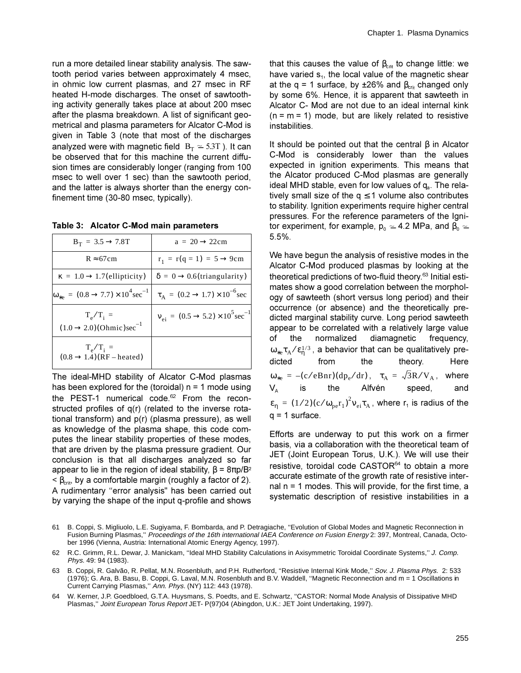run a more detailed linear stability analysis. The sawtooth period varies between approximately 4 msec, in ohmic low current plasmas, and 27 msec in RF heated H-mode discharges. The onset of sawtoothing activity generally takes place at about 200 msec after the plasma breakdown. A list of significant geometrical and plasma parameters for Alcator C-Mod is given in Table 3 (note that most of the discharges analyzed were with magnetic field  $B_T \approx 5.3T$ ). It can be observed that for this machine the current diffusion times are considerably longer (ranging from 100 msec to well over 1 sec) than the sawtooth period, and the latter is always shorter than the energy confinement time (30-80 msec, typically).

| Table 3: Alcator C-Mod main parameters |  |  |
|----------------------------------------|--|--|
|----------------------------------------|--|--|

| $B_T = 3.5 \rightarrow 7.8T$                                        | $a = 20 \rightarrow 22 \text{cm}$                                   |
|---------------------------------------------------------------------|---------------------------------------------------------------------|
| $R \approx 67cm$                                                    | $r_1 = r(q = 1) = 5 \rightarrow 9cm$                                |
| $\kappa = 1.0 \rightarrow 1.7$ (ellipticity)                        | $\delta = 0 \rightarrow 0.6$ (triangularity)                        |
| $\omega_{*e} = (0.8 \rightarrow 7.7) \times 10^{4} \text{sec}^{-1}$ | $\tau_A = (0.2 \rightarrow 1.7) \times 10^{-6}$ sec                 |
| $T_{\rm e}/T_{\rm i}$ =<br>$(1.0 \rightarrow 2.0)(Ohmic)sec^{-1}$   | $V_{\text{ei}} = (0.5 \rightarrow 5.2) \times 10^5 \text{sec}^{-1}$ |
| $T_e/T_i$ =<br>$(0.8 \rightarrow 1.4)$ (RF – heated)                |                                                                     |

The ideal-MHD stability of Alcator C-Mod plasmas has been explored for the (toroidal)  $n = 1$  mode using the PEST-1 numerical code.<sup>62</sup> From the reconstructed profiles of q(r) (related to the inverse rotational transform) and  $p(r)$  (plasma pressure), as well as knowledge of the plasma shape, this code computes the linear stability properties of these modes, that are driven by the plasma pressure gradient. Our conclusion is that all discharges analyzed so far appear to lie in the region of ideal stability,  $\beta = 8\pi p/B^2$  $\leq \beta_{\text{crit}}$ , by a comfortable margin (roughly a factor of 2). A rudimentary "error analysis" has been carried out by varying the shape of the input q-profile and shows

that this causes the value of  $\beta_{crit}$  to change little: we have varied  $s_1$ , the local value of the magnetic shear at the q = 1 surface, by  $\pm 26\%$  and  $\beta_{\text{crit}}$  changed only by some 6%. Hence, it is apparent that sawteeth in Alcator C- Mod are not due to an ideal internal kink  $(n = m = 1)$  mode, but are likely related to resistive instabilities.

It should be pointed out that the central  $\beta$  in Alcator C-Mod is considerably lower than the values expected in ignition experiments. This means that the Alcator produced C-Mod plasmas are generally ideal MHD stable, even for low values of  $q_a$ . The relatively small size of the  $q \le 1$  volume also contributes to stability. Ignition experiments require higher central pressures. For the reference parameters of the Ignitor experiment, for example,  $p_0 \approx 4.2$  MPa, and  $\beta_0 \approx$  $5.5%$ .

We have begun the analysis of resistive modes in the Alcator C-Mod produced plasmas by looking at the theoretical predictions of two-fluid theory.<sup>63</sup> Initial estimates show a good correlation between the morphology of sawteeth (short versus long period) and their occurrence (or absence) and the theoretically predicted marginal stability curve. Long period sawteeth appear to be correlated with a relatively large value of the normalized diamagnetic frequency.  $\omega_{*e}\tau_A/\epsilon_n^{1/3}$ , a behavior that can be qualitatively prethe theory. Here dicted from  $\omega_{*e} = -(c/eBnr)(dp_e/dr)$ ,  $\tau_A = \sqrt{3}R/V_A$ , where Alfvén  $V_{\scriptscriptstyle\rm A}$ the speed, is  $\varepsilon_n = (1/2)(c/\omega_{\text{pe}}r_1)^2 v_{\text{ei}}\tau_A$ , where  $r_1$  is radius of the  $q = 1$  surface.

Efforts are underway to put this work on a firmer basis, via a collaboration with the theoretical team of JET (Joint European Torus, U.K.). We will use their resistive, toroidal code CASTOR<sup>64</sup> to obtain a more accurate estimate of the growth rate of resistive internal  $n = 1$  modes. This will provide, for the first time, a systematic description of resistive instabilities in a

64 W. Kerner, J.P. Goedbloed, G.T.A. Huysmans, S. Poedts, and E. Schwartz, "CASTOR: Normal Mode Analysis of Dissipative MHD Plasmas," Joint European Torus Report JET- P(97)04 (Abingdon, U.K.: JET Joint Undertaking, 1997).

<sup>61</sup> B. Coppi, S. Migliuolo, L.E. Sugiyama, F. Bombarda, and P. Detragiache, "Evolution of Global Modes and Magnetic Reconnection in Fusion Burning Plasmas," Proceedings of the 16th international IAEA Conference on Fusion Energy 2: 397, Montreal, Canada, October 1996 (Vienna, Austria: International Atomic Energy Agency, 1997).

<sup>62</sup> R.C. Grimm, R.L. Dewar, J. Manickam, "Ideal MHD Stability Calculations in Axisymmetric Toroidal Coordinate Systems," J. Comp. Phys. 49: 94 (1983).

<sup>63</sup> B. Coppi, R. Galvão, R. Pellat, M.N. Rosenbluth, and P.H. Rutherford, "Resistive Internal Kink Mode," Sov. J. Plasma Phys. 2: 533 (1976); G. Ara, B. Basu, B. Coppi, G. Laval, M.N. Rosenbluth and B.V. Waddell, "Magnetic Reconnection and m = 1 Oscillations in Current Carrying Plasmas," Ann. Phys. (NY) 112: 443 (1978).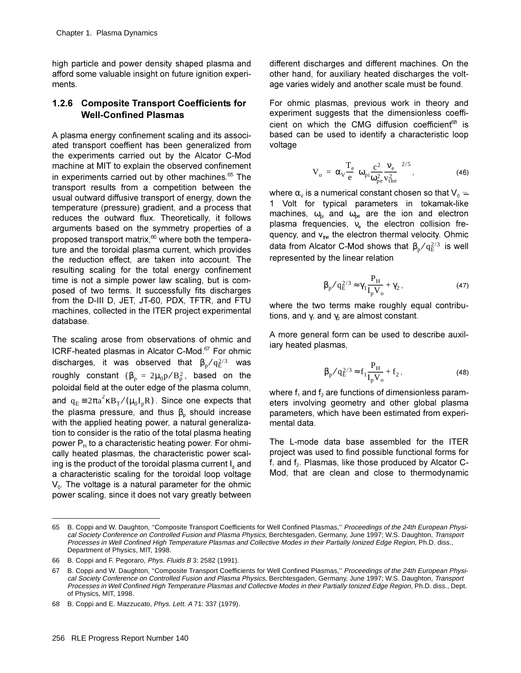high particle and power density shaped plasma and afford some valuable insight on future ignition experiments.

### 1.2.6 Composite Transport Coefficients for **Well-Confined Plasmas**

A plasma energy confinement scaling and its associated transport coeffient has been generalized from the experiments carried out by the Alcator C-Mod machine at MIT to explain the observed confinement in experiments carried out by other machines.<sup>65</sup> The transport results from a competition between the usual outward diffusive transport of energy, down the temperature (pressure) gradient, and a process that reduces the outward flux. Theoretically, it follows arguments based on the symmetry properties of a proposed transport matrix,<sup>66</sup> where both the temperature and the toroidal plasma current, which provides the reduction effect, are taken into account. The resulting scaling for the total energy confinement time is not a simple power law scaling, but is composed of two terms. It successfully fits discharges from the D-III D, JET, JT-60, PDX, TFTR, and FTU machines, collected in the ITER project experimental database.

The scaling arose from observations of ohmic and ICRF-heated plasmas in Alcator C-Mod.<sup>67</sup> For ohmic discharges, it was observed that  $\beta_p / q_E^{2/3}$  was roughly constant ( $\beta_p = 2\mu_0 p/B_p^2$ , based on the poloidal field at the outer edge of the plasma column, and  $q_E = 2\pi a^2 \kappa B_T/(\mu_0 I_p R)$ . Since one expects that the plasma pressure, and thus  $\beta_n$  should increase with the applied heating power, a natural generalization to consider is the ratio of the total plasma heating power  $P_H$  to a characteristic heating power. For ohmically heated plasmas, the characteristic power scaling is the product of the toroidal plasma current I, and a characteristic scaling for the toroidal loop voltage  $V_0$ . The voltage is a natural parameter for the ohmic power scaling, since it does not vary greatly between

different discharges and different machines. On the other hand, for auxiliary heated discharges the voltage varies widely and another scale must be found.

For ohmic plasmas, previous work in theory and experiment suggests that the dimensionless coefficient on which the CMG diffusion coefficient<sup>68</sup> is based can be used to identify a characteristic loop voltage

$$
V_o = \alpha_V \frac{T_e}{e} \left( \omega_{pi} \frac{c^2}{\omega_{pe}^2} \frac{v_e}{v_{the}^2} \right)^{2/5},
$$
 (46)

where  $\alpha_{v}$  is a numerical constant chosen so that  $V_0 \simeq$ 1 Volt for typical parameters in tokamak-like machines,  $\omega_{pi}$  and  $\omega_{pe}$  are the ion and electron plasma frequencies,  $v_{e}$  the electron collision frequency, and  $v_{\text{the}}$  the electron thermal velocity. Ohmic data from Alcator C-Mod shows that  $\beta_n/q_F^{2/3}$  is well represented by the linear relation

$$
\beta_{p}/q_{E}^{2/3} \approx \gamma_{1} \frac{P_{H}}{I_{p}V_{o}} + \gamma_{2}, \qquad (47)
$$

where the two terms make roughly equal contributions, and  $\gamma_1$  and  $\gamma_2$  are almost constant.

A more general form can be used to describe auxiliary heated plasmas,

$$
\beta_p / q_E^{2/3} \approx f_1 \frac{P_H}{I_p V_o} + f_2 ,
$$
\n(48)

where  $f_1$  and  $f_2$  are functions of dimensionless parameters involving geometry and other global plasma parameters, which have been estimated from experimental data.

The L-mode data base assembled for the ITER project was used to find possible functional forms for f<sub>1</sub> and f<sub>2</sub>. Plasmas, like those produced by Alcator C-Mod, that are clean and close to thermodynamic

B. Coppi and W. Daughton, "Composite Transport Coefficients for Well Confined Plasmas," Proceedings of the 24th European Physi-65 cal Society Conference on Controlled Fusion and Plasma Physics, Berchtesgaden, Germany, June 1997; W.S. Daughton, Transport Processes in Well Confined High Temperature Plasmas and Collective Modes in their Partially Ionized Edge Region, Ph.D. diss., Department of Physics, MIT, 1998.

<sup>66</sup> B. Coppi and F. Pegoraro, Phys. Fluids B 3: 2582 (1991).

B. Coppi and W. Daughton, "Composite Transport Coefficients for Well Confined Plasmas," Proceedings of the 24th European Physi-67 cal Society Conference on Controlled Fusion and Plasma Physics, Berchtesgaden, Germany, June 1997; W.S. Daughton, Transport Processes in Well Confined High Temperature Plasmas and Collective Modes in their Partially Ionized Edge Region, Ph.D. diss., Dept. of Physics, MIT, 1998.

<sup>68</sup> B. Coppi and E. Mazzucato, Phys. Lett. A 71: 337 (1979).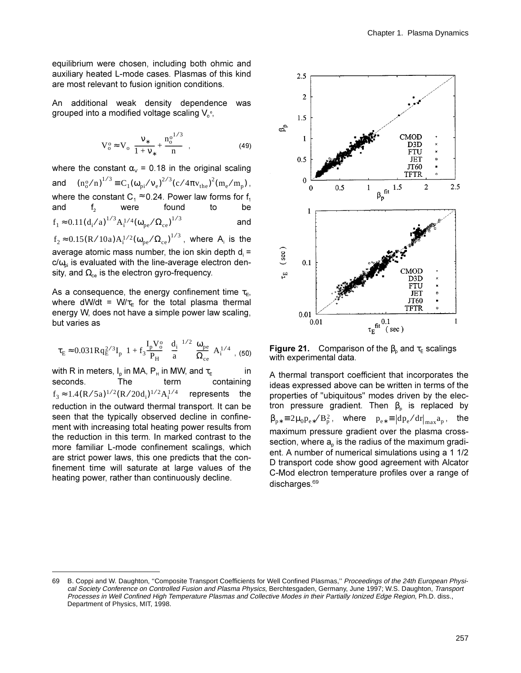equilibrium were chosen, including both ohmic and auxiliary heated L-mode cases. Plasmas of this kind are most relevant to fusion ignition conditions.

An additional weak density dependence was grouped into a modified voltage scaling  $V_{0}^{o}$ .

$$
V_o^o \approx V_o \left( \frac{v_*}{1 + v_*} + \frac{n_o^{0^{1/3}}}{n} \right),
$$
 (49)

where the constant  $\alpha_{v}$  = 0.18 in the original scaling and  $(n_0^o/n)^{1/3} \equiv C_1(\omega_{pi}/v_e)^{2/3} (c/4\pi v_{the})^2 (m_e/m_p)$ , where the constant  $C_1 \approx 0.24$ . Power law forms for f<sub>1</sub> and were found  $f<sub>2</sub>$ to be  $f_1 \approx 0.11 (d_i/a)^{1/3} A_i^{1/4} (\omega_{pe}/\Omega_{ce})^{1/3}$ and

 $f_2 \approx 0.15 (R/10a) A_1^{1/2} (\omega_{pe}/\Omega_{ce})^{1/3}$ , where A is the average atomic mass number, the ion skin depth  $d_i =$  $c/\omega_{\rm ni}$  is evaluated with the line-average electron density, and  $\Omega_{ce}$  is the electron gyro-frequency.

As a consequence, the energy confinement time  $\tau_{E}$ , where dW/dt =  $W/\tau_{E}$  for the total plasma thermal energy W, does not have a simple power law scaling, but varies as

$$
\tau_E \approx 0.031 R q_E^{2/3} I_p \left( 1 + f_3 \frac{I_p V_o^o}{P_H} \right) \left( \frac{d_i}{a} \right)^{1/2} \left( \frac{\omega_{pe}}{\Omega_{ce}} \right) A_i^{1/4} \ , \ (50)
$$

with R in meters, I<sub>n</sub> in MA, P<sub>H</sub> in MW, and  $\tau_F$ in seconds. The term containing  $f_3 \approx 1.4 (R/5a)^{1/2} (R/20d_1)^{1/2} A_1^{1/4}$  represents the reduction in the outward thermal transport. It can be seen that the typically observed decline in confinement with increasing total heating power results from the reduction in this term. In marked contrast to the more familiar L-mode confinement scalings, which are strict power laws, this one predicts that the confinement time will saturate at large values of the heating power, rather than continuously decline.



**Figure 21.** Comparison of the  $\beta_0$  and  $\tau_E$  scalings with experimental data.

A thermal transport coefficient that incorporates the ideas expressed above can be written in terms of the properties of "ubiquitous" modes driven by the electron pressure gradient. Then  $\beta_{p}$  is replaced by  $\beta_{p*} \equiv 2\mu_0 p_{e*}/B_p^2$ , where  $p_{e*} \equiv |dp_e/dr|_{max} a_p$ , the maximum pressure gradient over the plasma crosssection, where a<sub>n</sub> is the radius of the maximum gradient. A number of numerical simulations using a 1 1/2 D transport code show good agreement with Alcator C-Mod electron temperature profiles over a range of discharges. $69$ 

<sup>69</sup> B. Coppi and W. Daughton, "Composite Transport Coefficients for Well Confined Plasmas," Proceedings of the 24th European Physical Society Conference on Controlled Fusion and Plasma Physics, Berchtesgaden, Germany, June 1997; W.S. Daughton, Transport Processes in Well Confined High Temperature Plasmas and Collective Modes in their Partially Ionized Edge Region, Ph.D. diss., Department of Physics, MIT, 1998.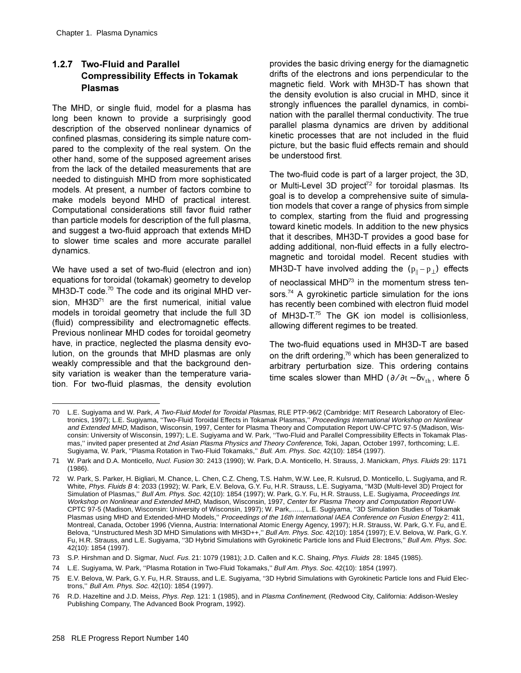# 1.2.7 Two-Fluid and Parallel **Compressibility Effects in Tokamak Plasmas**

The MHD, or single fluid, model for a plasma has long been known to provide a surprisingly good description of the observed nonlinear dynamics of confined plasmas, considering its simple nature compared to the complexity of the real system. On the other hand, some of the supposed agreement arises from the lack of the detailed measurements that are needed to distinguish MHD from more sophisticated models. At present, a number of factors combine to make models beyond MHD of practical interest. Computational considerations still favor fluid rather than particle models for description of the full plasma. and suggest a two-fluid approach that extends MHD to slower time scales and more accurate parallel dynamics.

We have used a set of two-fluid (electron and ion) equations for toroidal (tokamak) geometry to develop MH3D-T code.<sup>70</sup> The code and its original MHD version, MH3D<sup>71</sup> are the first numerical, initial value models in toroidal geometry that include the full 3D (fluid) compressibility and electromagnetic effects. Previous nonlinear MHD codes for toroidal geometry have, in practice, neglected the plasma density evolution, on the grounds that MHD plasmas are only weakly compressible and that the background density variation is weaker than the temperature variation. For two-fluid plasmas, the density evolution provides the basic driving energy for the diamagnetic drifts of the electrons and ions perpendicular to the magnetic field. Work with MH3D-T has shown that the density evolution is also crucial in MHD, since it strongly influences the parallel dynamics, in combination with the parallel thermal conductivity. The true parallel plasma dynamics are driven by additional kinetic processes that are not included in the fluid picture, but the basic fluid effects remain and should be understood first.

The two-fluid code is part of a larger project, the 3D. or Multi-Level 3D project<sup>72</sup> for toroidal plasmas. Its goal is to develop a comprehensive suite of simulation models that cover a range of physics from simple to complex, starting from the fluid and progressing toward kinetic models. In addition to the new physics that it describes, MH3D-T provides a good base for adding additional, non-fluid effects in a fully electromagnetic and toroidal model. Recent studies with MH3D-T have involved adding the  $(p_{\parallel}-p_{\perp})$  effects of neoclassical MHD<sup>73</sup> in the momentum stress tensors.<sup>74</sup> A gyrokinetic particle simulation for the ions has recently been combined with electron fluid model of MH3D-T.75 The GK ion model is collisionless, allowing different regimes to be treated.

The two-fluid equations used in MH3D-T are based on the drift ordering,<sup>76</sup> which has been generalized to arbitrary perturbation size. This ordering contains time scales slower than MHD ( $\partial/\partial t \sim \delta v_{th}$ , where  $\delta$ 

<sup>70</sup> L.E. Sugiyama and W. Park, A Two-Fluid Model for Toroidal Plasmas, RLE PTP-96/2 (Cambridge: MIT Research Laboratory of Electronics, 1997); L.E. Sugiyama, "Two-Fluid Toroidal Effects in Tokamak Plasmas," Proceedings International Workshop on Nonlinear and Extended MHD, Madison, Wisconsin, 1997, Center for Plasma Theory and Computation Report UW-CPTC 97-5 (Madison, Wisconsin: University of Wisconsin, 1997); L.E. Sugiyama and W. Park, "Two-Fluid and Parallel Compressibility Effects in Tokamak Plasmas," invited paper presented at 2nd Asian Plasma Physics and Theory Conference, Toki, Japan, October 1997, forthcoming; L.E. Sugiyama, W. Park, "Plasma Rotation in Two-Fluid Tokamaks," Bull. Am. Phys. Soc. 42(10): 1854 (1997).

<sup>71</sup> W. Park and D.A. Monticello, Nucl. Fusion 30: 2413 (1990); W. Park, D.A. Monticello, H. Strauss, J. Manickam, Phys. Fluids 29: 1171  $(1986)$ .

<sup>72</sup> W. Park, S. Parker, H. Bigliari, M. Chance, L. Chen, C.Z. Cheng, T.S. Hahm, W.W. Lee, R. Kulsrud, D. Monticello, L. Sugiyama, and R. White, Phys. Fluids B 4: 2033 (1992); W. Park, E.V. Belova, G.Y. Fu, H.R. Strauss, L.E. Sugiyama, "M3D (Multi-level 3D) Project for Simulation of Plasmas," Bull Am. Phys. Soc. 42(10): 1854 (1997); W. Park, G.Y. Fu, H.R. Strauss, L.E. Sugiyama, Proceedings Int. Workshop on Nonlinear and Extended MHD, Madison, Wisconsin, 1997, Center for Plasma Theory and Computation Report UW-CPTC 97-5 (Madison, Wisconsin: University of Wisconsin, 1997); W. Park,......, L.E. Sugiyama, "3D Simulation Studies of Tokamak Plasmas using MHD and Extended-MHD Models," Proceedings of the 16th International IAEA Conference on Fusion Energy 2: 411, Montreal, Canada, October 1996 (Vienna, Austria: International Atomic Energy Agency, 1997); H.R. Strauss, W. Park, G.Y. Fu, and E. Belova, "Unstructured Mesh 3D MHD Simulations with MH3D++," Bull Am. Phys. Soc. 42(10): 1854 (1997); E.V. Belova, W. Park, G.Y. Fu, H.R. Strauss, and L.E. Sugiyama, "3D Hybrid Simulations with Gyrokinetic Particle lons and Fluid Electrons," Bull Am. Phys. Soc. 42(10): 1854 (1997).

<sup>73</sup> S.P. Hirshman and D. Sigmar, Nucl. Fus. 21: 1079 (1981); J.D. Callen and K.C. Shaing, Phys. Fluids 28: 1845 (1985).

<sup>74</sup> L.E. Sugiyama, W. Park, "Plasma Rotation in Two-Fluid Tokamaks," Bull Am. Phys. Soc. 42(10): 1854 (1997).

<sup>75</sup> E.V. Belova, W. Park, G.Y. Fu, H.R. Strauss, and L.E. Sugiyama, "3D Hybrid Simulations with Gyrokinetic Particle lons and Fluid Electrons," Bull Am. Phys. Soc. 42(10): 1854 (1997).

<sup>76</sup> R.D. Hazeltine and J.D. Meiss, Phys. Rep. 121: 1 (1985), and in Plasma Confinement, (Redwood City, California: Addison-Wesley Publishing Company, The Advanced Book Program, 1992).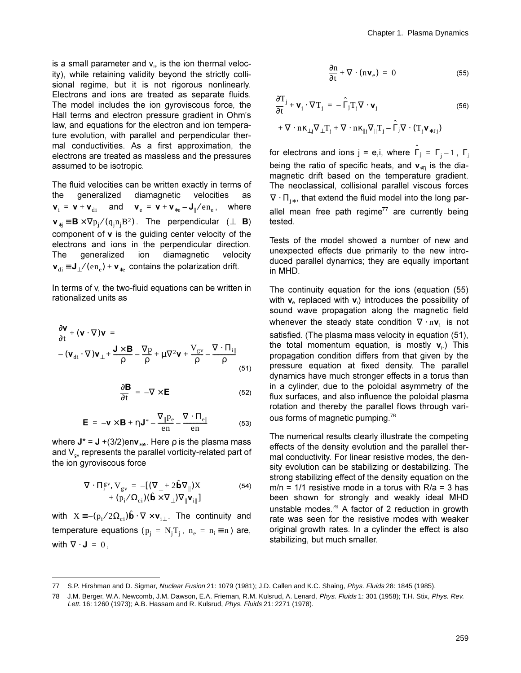is a small parameter and  $v_{th}$  is the ion thermal velocity), while retaining validity beyond the strictly collisional regime, but it is not rigorous nonlinearly. Electrons and ions are treated as separate fluids. The model includes the ion gyroviscous force, the Hall terms and electron pressure gradient in Ohm's law, and equations for the electron and ion temperature evolution, with parallel and perpendicular thermal conductivities. As a first approximation, the electrons are treated as massless and the pressures assumed to be isotropic.

The fluid velocities can be written exactly in terms of generalized diamagnetic velocities the as  $\mathbf{v}_i = \mathbf{v} + \mathbf{v}_{di}$  and  $\mathbf{v}_e = \mathbf{v} + \mathbf{v}_{*e} - \mathbf{J}_{\parallel}/en_e$ , where  $\mathbf{v}_{*j} \equiv \mathbf{B} \times \nabla p_j / (q_j n_j B^2)$ . The perpendicular ( $\perp$  **B**) component of v is the guiding center velocity of the electrons and jons in the perpendicular direction. **The** qeneralized ion diamagnetic velocity  ${\bf v}_{di} \equiv {\bf J}_{\perp}/(en_e) + {\bf v}_{\ast}$  contains the polarization drift.

In terms of v, the two-fluid equations can be written in rationalized units as

$$
\frac{\partial \mathbf{v}}{\partial t} + (\mathbf{v} \cdot \nabla) \mathbf{v} = \n- (\mathbf{v}_{di} \cdot \nabla) \mathbf{v}_{\perp} + \frac{\mathbf{J} \times \mathbf{B}}{\rho} - \frac{\nabla p}{\rho} + \mu \nabla^2 \mathbf{v} + \frac{V_{gv}}{\rho} - \frac{\nabla \cdot \Pi_{il}}{\rho} \tag{51}
$$

$$
\frac{\partial \mathbf{B}}{\partial t} = -\nabla \times \mathbf{E}
$$
 (52)

$$
\mathbf{E} = -\mathbf{v} \times \mathbf{B} + \eta \mathbf{J}^* - \frac{\nabla_{\parallel} p_e}{en} - \frac{\nabla \cdot \Pi_{e\parallel}}{en}
$$
(53)

where  $J^* = J + (3/2)$ env<sub>\*Te</sub>. Here  $\rho$  is the plasma mass and  $V_{av}$  represents the parallel vorticity-related part of the ion gyroviscous force

$$
\nabla \cdot \Pi_{i}^{gv}, \mathbf{V}_{gv} = -[(\nabla_{\perp} + 2\hat{\mathbf{b}}\nabla_{\parallel})\mathbf{X} + (\mathbf{p}_{i}/\Omega_{ci})(\hat{\mathbf{b}} \times \nabla_{\perp})\nabla_{\parallel} \mathbf{v}_{il}]
$$
(54)

with  $X = -(p_i/2\Omega_{ci})\hat{\mathbf{b}} \cdot \nabla \times \mathbf{v}_{i\perp}$ . The continuity and temperature equations ( $p_i = N_i T_i$ ,  $n_e = n_i \equiv n$ ) are, with  $\nabla \cdot \mathbf{J} = 0$ ,

$$
\frac{\partial \mathbf{n}}{\partial \mathbf{t}} + \nabla \cdot (\mathbf{n} \mathbf{v}_{e}) = 0 \tag{55}
$$

$$
\frac{\partial T_j}{\partial t} + \mathbf{v}_j \cdot \nabla T_j = -\hat{\Gamma}_j T_j \nabla \cdot \mathbf{v}_j
$$
\n
$$
+ \nabla \cdot \mathbf{n} \kappa_{\perp j} \nabla_{\perp} T_j + \nabla \cdot \mathbf{n} \kappa_{\parallel j} \nabla_{\parallel} T_j - \hat{\Gamma}_j \nabla \cdot (T_j \mathbf{v}_{*Tj})
$$
\n(56)

for electrons and ions  $j = e, i$ , where  $\Gamma_j = \Gamma_j - 1$ ,  $\Gamma_j$ being the ratio of specific heats, and  $v_{\rm eff}$  is the diamagnetic drift based on the temperature gradient. The neoclassical, collisional parallel viscous forces  $\nabla \cdot \Pi_{i*}$ , that extend the fluid model into the long parallel mean free path regime<sup>77</sup> are currently being tested.

Tests of the model showed a number of new and unexpected effects due primarily to the new introduced parallel dynamics; they are equally important in MHD.

The continuity equation for the ions (equation (55) with  $v_e$  replaced with  $v_i$ ) introduces the possibility of sound wave propagation along the magnetic field whenever the steady state condition  $\nabla \cdot \mathbf{n} \mathbf{v}_i$  is not satisfied. (The plasma mass velocity in equation (51), the total momentum equation, is mostly  $v_i$ .) This propagation condition differs from that given by the pressure equation at fixed density. The parallel dynamics have much stronger effects in a torus than in a cylinder, due to the poloidal asymmetry of the flux surfaces, and also influence the poloidal plasma rotation and thereby the parallel flows through various forms of magnetic pumping.<sup>78</sup>

The numerical results clearly illustrate the competing effects of the density evolution and the parallel thermal conductivity. For linear resistive modes, the density evolution can be stabilizing or destabilizing. The strong stabilizing effect of the density equation on the  $m/n = 1/1$  resistive mode in a torus with  $R/a = 3$  has been shown for strongly and weakly ideal MHD unstable modes. $^{79}$  A factor of 2 reduction in growth rate was seen for the resistive modes with weaker original growth rates. In a cylinder the effect is also stabilizing, but much smaller.

<sup>77</sup> S.P. Hirshman and D. Sigmar, Nuclear Fusion 21: 1079 (1981); J.D. Callen and K.C. Shaing, Phys. Fluids 28: 1845 (1985).

<sup>78</sup> J.M. Berger, W.A. Newcomb, J.M. Dawson, E.A. Frieman, R.M. Kulsrud, A. Lenard, Phys. Fluids 1: 301 (1958); T.H. Stix, Phys. Rev. Lett. 16: 1260 (1973); A.B. Hassam and R. Kulsrud, Phys. Fluids 21: 2271 (1978).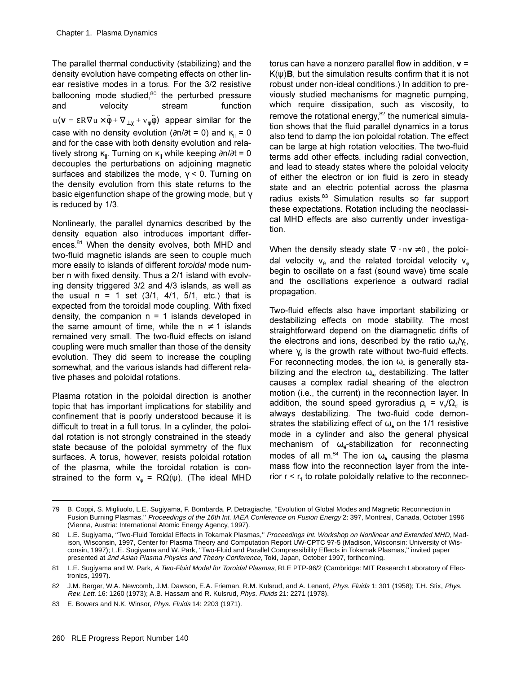The parallel thermal conductivity (stabilizing) and the density evolution have competing effects on other linear resistive modes in a torus. For the 3/2 resistive ballooning mode studied, $80$  the perturbed pressure and velocity stream function  $\mathbf{u}(\mathbf{v}=\epsilon \mathbf{R}\nabla \mathbf{u}\times \hat{\phi}+\nabla_{\perp \chi}+\mathbf{v}_{\phi}\hat{\phi})$  appear similar for the case with no density evolution ( $\partial n/\partial t = 0$ ) and  $\kappa_{\parallel} = 0$ and for the case with both density evolution and relatively strong  $\kappa_{\parallel}$ . Turning on  $\kappa_{\parallel}$  while keeping  $\partial$ n/∂t = 0 decouples the perturbations on adjoining magnetic surfaces and stabilizes the mode,  $\gamma$  < 0. Turning on the density evolution from this state returns to the basic eigenfunction shape of the growing mode, but  $\gamma$ is reduced by 1/3.

Nonlinearly, the parallel dynamics described by the density equation also introduces important differences. $81$  When the density evolves, both MHD and two-fluid magnetic islands are seen to couple much more easily to islands of different toroidal mode number n with fixed density. Thus a 2/1 island with evolving density triggered 3/2 and 4/3 islands, as well as the usual  $n = 1$  set  $(3/1, 4/1, 5/1,$  etc.) that is expected from the toroidal mode coupling. With fixed density, the companion  $n = 1$  islands developed in the same amount of time, while the  $n \neq 1$  islands remained very small. The two-fluid effects on island coupling were much smaller than those of the density evolution. They did seem to increase the coupling somewhat, and the various islands had different relative phases and poloidal rotations.

Plasma rotation in the poloidal direction is another topic that has important implications for stability and confinement that is poorly understood because it is difficult to treat in a full torus. In a cylinder, the poloidal rotation is not strongly constrained in the steady state because of the poloidal symmetry of the flux surfaces. A torus, however, resists poloidal rotation of the plasma, while the toroidal rotation is constrained to the form  $v_{\phi} = R\Omega(\psi)$ . (The ideal MHD

torus can have a nonzero parallel flow in addition,  $v =$  $K(\psi)$ **B**, but the simulation results confirm that it is not robust under non-ideal conditions.) In addition to previously studied mechanisms for magnetic pumping. which require dissipation, such as viscosity, to remove the rotational energy, $^{82}$  the numerical simulation shows that the fluid parallel dynamics in a torus also tend to damp the ion poloidal rotation. The effect can be large at high rotation velocities. The two-fluid terms add other effects, including radial convection, and lead to steady states where the poloidal velocity of either the electron or ion fluid is zero in steady state and an electric potential across the plasma radius exists.<sup>83</sup> Simulation results so far support these expectations. Rotation including the neoclassical MHD effects are also currently under investigation.

When the density steady state  $\nabla\cdot\mathbf{n}\mathbf{v}\neq0$ , the poloidal velocity  $v_{\theta}$  and the related toroidal velocity  $v_{\phi}$ begin to oscillate on a fast (sound wave) time scale and the oscillations experience a outward radial propagation.

Two-fluid effects also have important stabilizing or destabilizing effects on mode stability. The most straightforward depend on the diamagnetic drifts of the electrons and ions, described by the ratio  $\omega_{*}/\gamma_{0}$ , where  $\gamma_0$  is the growth rate without two-fluid effects. For reconnecting modes, the ion  $\omega_{*i}$  is generally stabilizing and the electron  $\omega_{*e}$  destabilizing. The latter causes a complex radial shearing of the electron motion (i.e., the current) in the reconnection layer. In addition, the sound speed gyroradius  $\rho_s = v_s/\Omega_c$  is always destabilizing. The two-fluid code demonstrates the stabilizing effect of  $\omega_{*}$  on the 1/1 resistive mode in a cylinder and also the general physical mechanism of  $\omega_{*i}$ -stabilization for reconnecting modes of all m. $^{84}$  The ion  $\omega_{*i}$  causing the plasma mass flow into the reconnection layer from the interior  $r < r_1$  to rotate poloidally relative to the reconnec-

<sup>79</sup> B. Coppi, S. Migliuolo, L.E. Sugiyama, F. Bombarda, P. Detragiache, ''Evolution of Global Modes and Magnetic Reconnection in Fusion Burning Plasmas,'' Proceedings of the 16th Int. IAEA Conference on Fusion Energy 2: 397, Montreal, Canada, October 1996 (Vienna, Austria: International Atomic Energy Agency, 1997).

<sup>80</sup> L.E. Sugiyama, "Two-Fluid Toroidal Effects in Tokamak Plasmas," Proceedings Int. Workshop on Nonlinear and Extended MHD, Madison, Wisconsin, 1997, Center for Plasma Theory and Computation Report UW-CPTC 97-5 (Madison, Wisconsin: University of Wisconsin, 1997); L.E. Sugiyama and W. Park, ''Two-Fluid and Parallel Compressibility Effects in Tokamak Plasmas,'' invited paper presented at 2nd Asian Plasma Physics and Theory Conference, Toki, Japan, October 1997, forthcoming.

<sup>81</sup> L.E. Sugiyama and W. Park, A Two-Fluid Model for Toroidal Plasmas, RLE PTP-96/2 (Cambridge: MIT Research Laboratory of Electronics, 1997).

<sup>82</sup> J.M. Berger, W.A. Newcomb, J.M. Dawson, E.A. Frieman, R.M. Kulsrud, and A. Lenard, Phys. Fluids 1: 301 (1958); T.H. Stix, Phys. Rev. Lett. 16: 1260 (1973); A.B. Hassam and R. Kulsrud, Phys. Fluids 21: 2271 (1978).

<sup>83</sup> E. Bowers and N.K. Winsor, Phys. Fluids 14: 2203 (1971).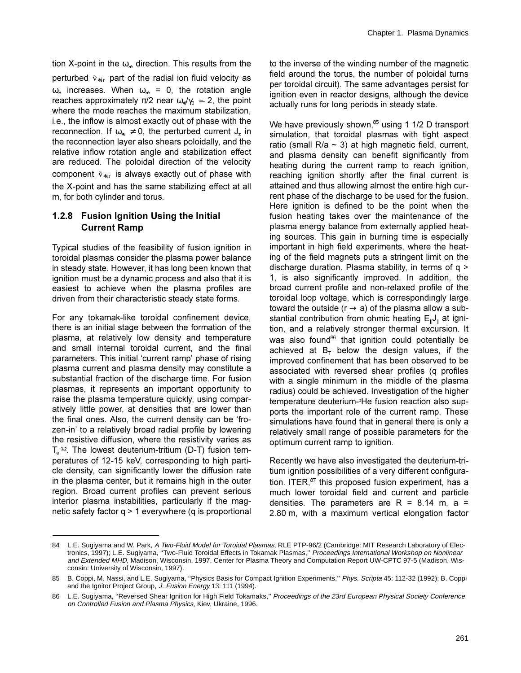tion X-point in the  $\omega_{*e}$  direction. This results from the perturbed  $\tilde{\mathrm{v}}_{* \mathrm{ir}}$  part of the radial ion fluid velocity as  $\omega_{*i}$  increases. When  $\omega_{*e}$  = 0, the rotation angle reaches approximately  $\pi/2$  near  $\omega_{*}/\gamma_{0} \simeq 2$ , the point where the mode reaches the maximum stabilization, i.e., the inflow is almost exactly out of phase with the reconnection. If  $\omega_{\gamma e} \neq 0$ , the perturbed current J, in the reconnection layer also shears poloidally, and the relative inflow rotation angle and stabilization effect are reduced. The poloidal direction of the velocity component  $\tilde{\mathrm{v}}_{* \mathrm{ir}}$  is always exactly out of phase with the X-point and has the same stabilizing effect at all m, for both cylinder and torus.

### **1.2.8 Fusion Ignition Using the Initial Current Ramp**

Typical studies of the feasibility of fusion ignition in toroidal plasmas consider the plasma power balance in steady state. However, it has long been known that ignition must be a dynamic process and also that it is easiest to achieve when the plasma profiles are driven from their characteristic steady state forms.

For any tokamak-like toroidal confinement device, there is an initial stage between the formation of the plasma, at relatively low density and temperature and small internal toroidal current, and the final parameters. This initial 'current ramp' phase of rising plasma current and plasma density may constitute a substantial fraction of the discharge time. For fusion plasmas, it represents an important opportunity to raise the plasma temperature quickly, using comparatively little power, at densities that are lower than the final ones. Also, the current density can be 'frozen-in' to a relatively broad radial profile by lowering the resistive diffusion, where the resistivity varies as  $T_e^{3/2}$ . The lowest deuterium-tritium (D-T) fusion temperatures of 12-15 keV, corresponding to high particle density, can significantly lower the diffusion rate in the plasma center, but it remains high in the outer region. Broad current profiles can prevent serious interior plasma instabilities, particularly if the maqnetic safety factor  $q > 1$  everywhere (q is proportional to the inverse of the winding number of the magnetic field around the torus, the number of poloidal turns per toroidal circuit). The same advantages persist for ignition even in reactor designs, although the device actually runs for long periods in steady state.

We have previously shown,  $85$  using 1 1/2 D transport simulation, that toroidal plasmas with tight aspect ratio (small  $R/a \sim 3$ ) at high magnetic field, current, and plasma density can benefit significantly from heating during the current ramp to reach ignition, reaching ignition shortly after the final current is attained and thus allowing almost the entire high current phase of the discharge to be used for the fusion. Here ignition is defined to be the point when the fusion heating takes over the maintenance of the plasma energy balance from externally applied heating sources. This gain in burning time is especially important in high field experiments, where the heating of the field magnets puts a stringent limit on the discharge duration. Plasma stability, in terms of  $q >$ 1, is also significantly improved. In addition, the broad current profile and non-relaxed profile of the toroidal loop voltage, which is correspondingly large toward the outside ( $r \rightarrow a$ ) of the plasma allow a substantial contribution from ohmic heating  $E_{\parallel}J_{\parallel}$  at ignition, and a relatively stronger thermal excursion. It was also found<sup>86</sup> that ignition could potentially be achieved at  $B_T$  below the design values, if the improved confinement that has been observed to be associated with reversed shear profiles (q profiles with a single minimum in the middle of the plasma radius) could be achieved. Investigation of the higher temperature deuterium-<sup>3</sup>He fusion reaction also supports the important role of the current ramp. These simulations have found that in general there is only a relatively small range of possible parameters for the optimum current ramp to ignition.

Recently we have also investigated the deuterium-tritium ignition possibilities of a very different configuration. ITER, $87$  this proposed fusion experiment, has a much lower toroidal field and current and particle densities. The parameters are R = 8.14 m, a = 2.80 m, with a maximum vertical elongation factor

<sup>84</sup> L.E. Sugiyama and W. Park, A Two-Fluid Model for Toroidal Plasmas, RLE PTP-96/2 (Cambridge: MIT Research Laboratory of Electronics, 1997); L.E. Sugiyama, "Two-Fluid Toroidal Effects in Tokamak Plasmas," Proceedings International Workshop on Nonlinear and Extended MHD, Madison, Wisconsin, 1997, Center for Plasma Theory and Computation Report UW-CPTC 97-5 (Madison, Wisconsin: University of Wisconsin, 1997).

<sup>85</sup> B. Coppi, M. Nassi, and L.E. Sugiyama, "Physics Basis for Compact Ignition Experiments," Phys. Scripta 45: 112-32 (1992); B. Coppi and the Ignitor Project Group, J. Fusion Energy 13: 111 (1994).

<sup>86</sup> L.E. Sugiyama, "Reversed Shear Ignition for High Field Tokamaks," Proceedings of the 23rd European Physical Society Conference on Controlled Fusion and Plasma Physics, Kiev, Ukraine, 1996.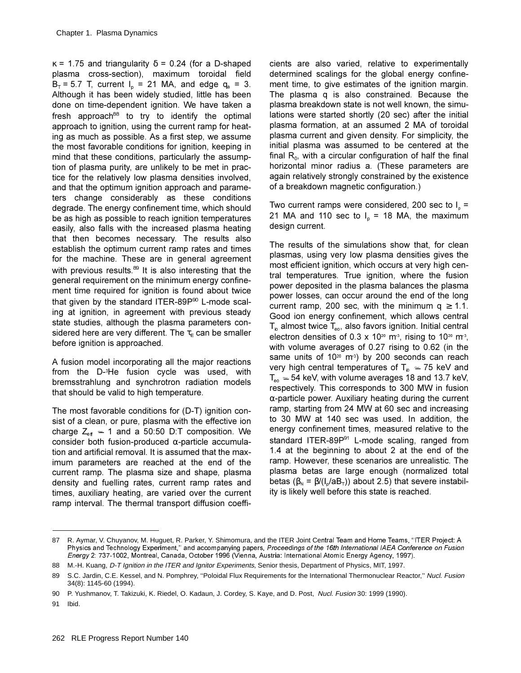$\kappa$  = 1.75 and triangularity  $\delta$  = 0.24 (for a D-shaped plasma cross-section), maximum toroidal field  $B_T = 5.7$  T, current  $I_p = 21$  MA, and edge  $q_a = 3$ . Although it has been widely studied, little has been done on time-dependent ignition. We have taken a fresh approach $88$  to try to identify the optimal approach to ignition, using the current ramp for heating as much as possible. As a first step, we assume the most favorable conditions for ignition, keeping in mind that these conditions, particularly the assumption of plasma purity, are unlikely to be met in practice for the relatively low plasma densities involved, and that the optimum ignition approach and parameters change considerably as these conditions degrade. The energy confinement time, which should be as high as possible to reach ignition temperatures easily, also falls with the increased plasma heating that then becomes necessary. The results also establish the optimum current ramp rates and times for the machine. These are in general agreement with previous results. $89$  It is also interesting that the general requirement on the minimum energy confinement time required for ignition is found about twice that given by the standard ITER-89 $P^{90}$  L-mode scaling at ignition, in agreement with previous steady state studies, although the plasma parameters considered here are very different. The  $\tau_F$  can be smaller before ignition is approached.

A fusion model incorporating all the major reactions from the D-<sup>3</sup>He fusion cycle was used, with bremsstrahlung and synchrotron radiation models that should be valid to high temperature.

The most favorable conditions for  $(D-T)$  ignition consist of a clean, or pure, plasma with the effective ion charge  $Z_{\text{eff}}$   $\approx$  1 and a 50:50 D:T composition. We consider both fusion-produced  $\alpha$ -particle accumulation and artificial removal. It is assumed that the maximum parameters are reached at the end of the current ramp. The plasma size and shape, plasma density and fuelling rates, current ramp rates and times, auxiliary heating, are varied over the current ramp interval. The thermal transport diffusion coefficients are also varied, relative to experimentally determined scalings for the global energy confinement time, to give estimates of the ignition margin. The plasma q is also constrained. Because the plasma breakdown state is not well known, the simulations were started shortly (20 sec) after the initial plasma formation, at an assumed 2 MA of toroidal plasma current and given density. For simplicity, the initial plasma was assumed to be centered at the final  $R_0$ , with a circular configuration of half the final horizontal minor radius a. (These parameters are again relatively strongly constrained by the existence of a breakdown magnetic configuration.)

Two current ramps were considered, 200 sec to  $I<sub>o</sub> =$ 21 MA and 110 sec to  $I_n = 18$  MA, the maximum design current.

The results of the simulations show that, for clean plasmas, using very low plasma densities gives the most efficient ignition, which occurs at very high central temperatures. True ignition, where the fusion power deposited in the plasma balances the plasma power losses, can occur around the end of the long current ramp, 200 sec, with the minimum  $q \ge 1.1$ . Good ion energy confinement, which allows central  $T_{\text{lo}}$  almost twice  $T_{\text{eo}}$ , also favors ignition. Initial central electron densities of 0.3 x 10<sup>20</sup> m<sup>3</sup>, rising to 10<sup>20</sup> m<sup>3</sup>, with volume averages of  $0.27$  rising to  $0.62$  (in the same units of 10 $20$  m<sup>3</sup>) by 200 seconds can reach very high central temperatures of T $_{\sf io}$   $\simeq$  75 keV and  $T_{\texttt{eo}}\simeq\,54$  keV, with volume averages 18 and 13.7 keV, respectively. This corresponds to 300 MW in fusion  $\alpha$ -particle power. Auxiliary heating during the current ramp, starting from 24 MW at 60 sec and increasing to 30 MW at 140 sec was used. In addition, the energy confinement times, measured relative to the standard ITER-89 $P^{91}$  L-mode scaling, ranged from 1.4 at the beginning to about 2 at the end of the ramp. However, these scenarios are unrealistic. The plasma betas are large enough (normalized total betas ( $\beta_N = \beta/(I_p/aB_T)$ ) about 2.5) that severe instability is likely well before this state is reached.

<sup>87</sup> R. Aymar, V. Chuyanov, M. Huguet, R. Parker, Y. Shimomura, and the ITER Joint Central Team and Home Teams, "ITER Project: A Physics and Technology Experiment," and accompanying papers, Proceedings of the 16th International IAEA Conference on Fusion Energy 2: 737-1002, Montreal, Canada, October 1996 (Vienna, Austria: International Atomic Energy Agency, 1997).

<sup>88</sup> M.-H. Kuang, D-T Ignition in the ITER and Ignitor Experiments, Senior thesis, Department of Physics, MIT, 1997.

<sup>89</sup> S.C. Jardin, C.E. Kessel, and N. Pomphrey, "Poloidal Flux Requirements for the International Thermonuclear Reactor," Nucl. Fusion 34(8): 1145-60 (1994).

<sup>90</sup> P. Yushmanov, T. Takizuki, K. Riedel, O. Kadaun, J. Cordey, S. Kaye, and D. Post, Nucl. Fusion 30: 1999 (1990).

<sup>91</sup> Ibid.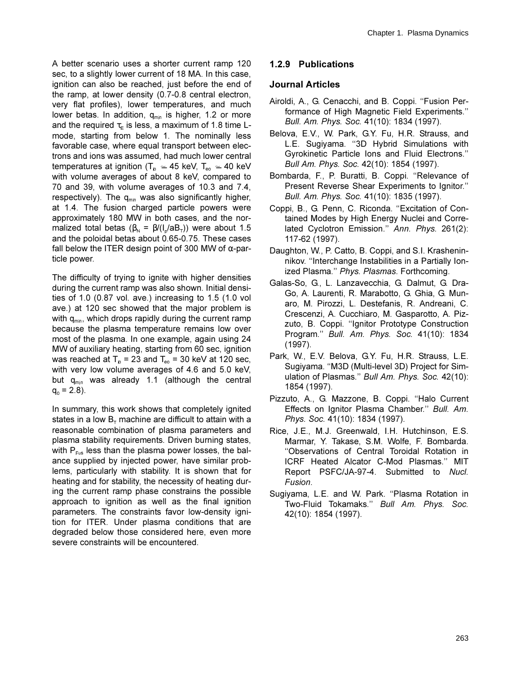A better scenario uses a shorter current ramp 120 sec, to a slightly lower current of 18 MA. In this case, ignition can also be reached, just before the end of the ramp, at lower density (0.7-0.8 central electron, very flat profiles), lower temperatures, and much lower betas. In addition,  $q_{min}$  is higher, 1.2 or more and the required  $\tau_{E}$  is less, a maximum of 1.8 time Lmode, starting from below 1. The nominally less favorable case, where equal transport between electrons and ions was assumed, had much lower central temperatures at ignition (T<sub>io</sub>  $\simeq$  45 keV, T<sub>eo</sub>  $\simeq$  40 keV with volume averages of about 8 keV, compared to 70 and 39, with volume averages of 10.3 and 7.4, respectively). The  $q_{min}$  was also significantly higher, at 1.4. The fusion charged particle powers were approximately 180 MW in both cases, and the normalized total betas ( $\beta_N = \beta/(I_o/aB_T)$ ) were about 1.5 and the poloidal betas about 0.65-0.75. These cases fall below the ITER design point of 300 MW of  $\alpha$ -particle power.

The difficulty of trying to ignite with higher densities during the current ramp was also shown. Initial densities of 1.0  $(0.87 \text{ vol.}$  ave.) increasing to 1.5  $(1.0 \text{ vol.})$ ave.) at 120 sec showed that the major problem is with  $q_{min}$ , which drops rapidly during the current ramp because the plasma temperature remains low over most of the plasma. In one example, again using 24 MW of auxiliary heating, starting from 60 sec, ignition was reached at  $T_{io} = 23$  and  $T_{eo} = 30$  keV at 120 sec, with very low volume averages of 4.6 and 5.0 keV, but  $q_{min}$  was already 1.1 (although the central  $q_0 = 2.8$ ).

In summary, this work shows that completely ignited states in a low  $B<sub>T</sub>$  machine are difficult to attain with a reasonable combination of plasma parameters and plasma stability requirements. Driven burning states, with  $P_{Fus}$  less than the plasma power losses, the balance supplied by injected power, have similar problems, particularly with stability. It is shown that for heating and for stability, the necessity of heating during the current ramp phase constrains the possible approach to ignition as well as the final ignition parameters. The constraints favor low-density ignition for ITER. Under plasma conditions that are degraded below those considered here, even more severe constraints will be encountered.

### 1.2.9 Publications

### **Journal Articles**

- Airoldi, A., G. Cenacchi, and B. Coppi. "Fusion Performance of High Magnetic Field Experiments." Bull. Am. Phys. Soc. 41(10): 1834 (1997).
- Belova, E.V., W. Park, G.Y. Fu, H.R. Strauss, and L.E. Sugiyama. "3D Hybrid Simulations with Gyrokinetic Particle lons and Fluid Electrons." Bull Am. Phys. Soc. 42(10): 1854 (1997).
- Bombarda, F., P. Buratti, B. Coppi. "Relevance of Present Reverse Shear Experiments to Ignitor." Bull. Am. Phys. Soc. 41(10): 1835 (1997).
- Coppi, B., G. Penn, C. Riconda. "Excitation of Contained Modes by High Energy Nuclei and Correlated Cyclotron Emission." Ann. Phys. 261(2): 117-62 (1997).
- Daughton, W., P. Catto, B. Coppi, and S.I. Krasheninnikov. "Interchange Instabilities in a Partially Ionized Plasma." Phys. Plasmas. Forthcoming.
- Galas-So, G., L. Lanzavecchia, G. Dalmut, G. Dra-Go, A. Laurenti, R. Marabotto, G. Ghia, G. Munaro, M. Pirozzi, L. Destefanis, R. Andreani, C. Crescenzi, A. Cucchiaro, M. Gasparotto, A. Pizzuto, B. Coppi. "Ignitor Prototype Construction Program." Bull. Am. Phys. Soc. 41(10): 1834  $(1997).$
- Park, W., E.V. Belova, G.Y. Fu, H.R. Strauss, L.E. Sugiyama. "M3D (Multi-level 3D) Project for Simulation of Plasmas." Bull Am. Phys. Soc. 42(10): 1854 (1997).
- Pizzuto, A., G. Mazzone, B. Coppi. "Halo Current Effects on Ignitor Plasma Chamber." Bull. Am. Phys. Soc. 41(10): 1834 (1997).
- Rice, J.E., M.J. Greenwald, I.H. Hutchinson, E.S. Marmar, Y. Takase, S.M. Wolfe, F. Bombarda. "Observations of Central Toroidal Rotation in ICRF Heated Alcator C-Mod Plasmas." MIT Report PSFC/JA-97-4. Submitted to Nucl. Fusion.
- Sugiyama, L.E. and W. Park. "Plasma Rotation in Two-Fluid Tokamaks." Bull Am. Phys. Soc. 42(10): 1854 (1997).